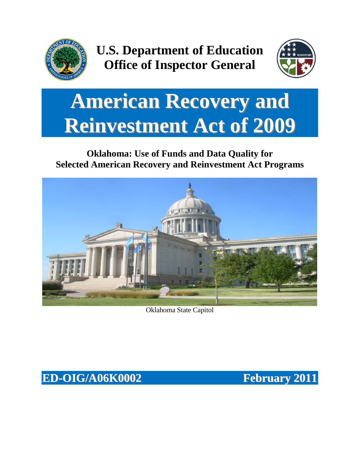

**U.S. Department of Education Office of Inspector General**



# **American Recovery and Reinvestment Act of 2009**

# **Oklahoma: Use of Funds and Data Quality for Selected American Recovery and Reinvestment Act Programs**



Oklahoma State Capitol

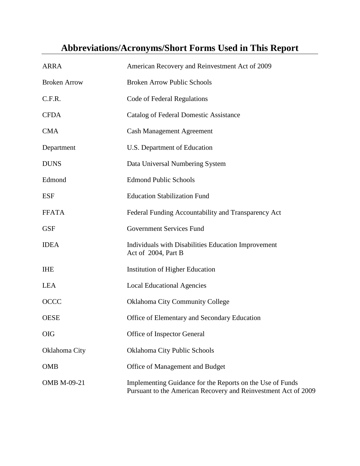# **Abbreviations/Acronyms/Short Forms Used in This Report**

| <b>ARRA</b>         | American Recovery and Reinvestment Act of 2009                                                                              |
|---------------------|-----------------------------------------------------------------------------------------------------------------------------|
| <b>Broken Arrow</b> | <b>Broken Arrow Public Schools</b>                                                                                          |
| C.F.R.              | Code of Federal Regulations                                                                                                 |
| <b>CFDA</b>         | Catalog of Federal Domestic Assistance                                                                                      |
| <b>CMA</b>          | <b>Cash Management Agreement</b>                                                                                            |
| Department          | U.S. Department of Education                                                                                                |
| <b>DUNS</b>         | Data Universal Numbering System                                                                                             |
| Edmond              | <b>Edmond Public Schools</b>                                                                                                |
| <b>ESF</b>          | <b>Education Stabilization Fund</b>                                                                                         |
| <b>FFATA</b>        | Federal Funding Accountability and Transparency Act                                                                         |
| <b>GSF</b>          | <b>Government Services Fund</b>                                                                                             |
| <b>IDEA</b>         | Individuals with Disabilities Education Improvement<br>Act of 2004, Part B                                                  |
| <b>IHE</b>          | Institution of Higher Education                                                                                             |
| <b>LEA</b>          | <b>Local Educational Agencies</b>                                                                                           |
| <b>OCCC</b>         | <b>Oklahoma City Community College</b>                                                                                      |
| <b>OESE</b>         | Office of Elementary and Secondary Education                                                                                |
| <b>OIG</b>          | Office of Inspector General                                                                                                 |
| Oklahoma City       | <b>Oklahoma City Public Schools</b>                                                                                         |
| <b>OMB</b>          | Office of Management and Budget                                                                                             |
| <b>OMB M-09-21</b>  | Implementing Guidance for the Reports on the Use of Funds<br>Pursuant to the American Recovery and Reinvestment Act of 2009 |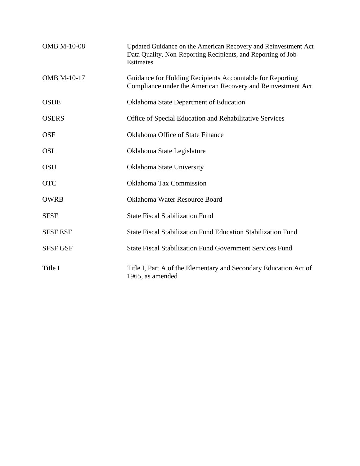| <b>OMB M-10-08</b> | Updated Guidance on the American Recovery and Reinvestment Act<br>Data Quality, Non-Reporting Recipients, and Reporting of Job<br>Estimates |
|--------------------|---------------------------------------------------------------------------------------------------------------------------------------------|
| <b>OMB M-10-17</b> | Guidance for Holding Recipients Accountable for Reporting<br>Compliance under the American Recovery and Reinvestment Act                    |
| <b>OSDE</b>        | <b>Oklahoma State Department of Education</b>                                                                                               |
| <b>OSERS</b>       | Office of Special Education and Rehabilitative Services                                                                                     |
| <b>OSF</b>         | <b>Oklahoma Office of State Finance</b>                                                                                                     |
| <b>OSL</b>         | Oklahoma State Legislature                                                                                                                  |
| <b>OSU</b>         | Oklahoma State University                                                                                                                   |
| <b>OTC</b>         | <b>Oklahoma Tax Commission</b>                                                                                                              |
| <b>OWRB</b>        | Oklahoma Water Resource Board                                                                                                               |
| <b>SFSF</b>        | <b>State Fiscal Stabilization Fund</b>                                                                                                      |
| <b>SFSF ESF</b>    | State Fiscal Stabilization Fund Education Stabilization Fund                                                                                |
| <b>SFSF GSF</b>    | <b>State Fiscal Stabilization Fund Government Services Fund</b>                                                                             |
| Title I            | Title I, Part A of the Elementary and Secondary Education Act of<br>1965, as amended                                                        |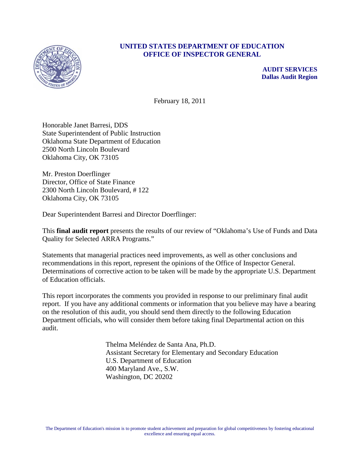

#### **UNITED STATES DEPARTMENT OF EDUCATION OFFICE OF INSPECTOR GENERAL**

**AUDIT SERVICES Dallas Audit Region**

February 18, 2011

Honorable Janet Barresi, DDS State Superintendent of Public Instruction Oklahoma State Department of Education 2500 North Lincoln Boulevard Oklahoma City, OK 73105

Mr. Preston Doerflinger Director, Office of State Finance 2300 North Lincoln Boulevard, # 122 Oklahoma City, OK 73105

Dear Superintendent Barresi and Director Doerflinger:

This **final audit report** presents the results of our review of "Oklahoma's Use of Funds and Data Quality for Selected ARRA Programs."

Statements that managerial practices need improvements, as well as other conclusions and recommendations in this report, represent the opinions of the Office of Inspector General. Determinations of corrective action to be taken will be made by the appropriate U.S. Department of Education officials.

This report incorporates the comments you provided in response to our preliminary final audit report. If you have any additional comments or information that you believe may have a bearing on the resolution of this audit, you should send them directly to the following Education Department officials, who will consider them before taking final Departmental action on this audit.

> Thelma Meléndez de Santa Ana, Ph.D. Assistant Secretary for Elementary and Secondary Education U.S. Department of Education 400 Maryland Ave., S.W. Washington, DC 20202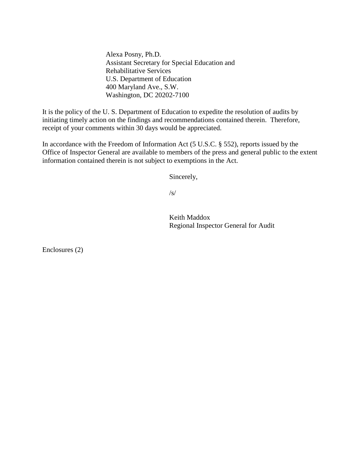Alexa Posny, Ph.D. Assistant Secretary for Special Education and Rehabilitative Services U.S. Department of Education 400 Maryland Ave., S.W. Washington, DC 20202-7100

It is the policy of the U. S. Department of Education to expedite the resolution of audits by initiating timely action on the findings and recommendations contained therein. Therefore, receipt of your comments within 30 days would be appreciated.

In accordance with the Freedom of Information Act (5 U.S.C. § 552), reports issued by the Office of Inspector General are available to members of the press and general public to the extent information contained therein is not subject to exemptions in the Act.

Sincerely,

 $\sqrt{s}/$ 

 Keith Maddox Regional Inspector General for Audit

Enclosures (2)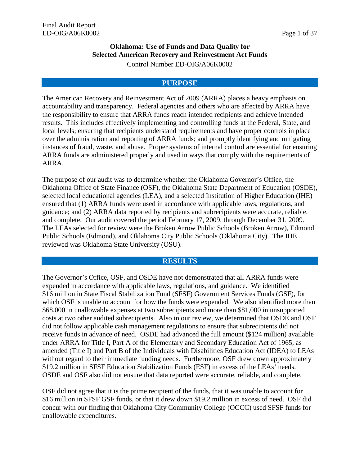#### **Oklahoma: Use of Funds and Data Quality for Selected American Recovery and Reinvestment Act Funds** Control Number ED-OIG/A06K0002

#### **PURPOSE**

The American Recovery and Reinvestment Act of 2009 (ARRA) places a heavy emphasis on accountability and transparency. Federal agencies and others who are affected by ARRA have the responsibility to ensure that ARRA funds reach intended recipients and achieve intended results. This includes effectively implementing and controlling funds at the Federal, State, and local levels; ensuring that recipients understand requirements and have proper controls in place over the administration and reporting of ARRA funds; and promptly identifying and mitigating instances of fraud, waste, and abuse. Proper systems of internal control are essential for ensuring ARRA funds are administered properly and used in ways that comply with the requirements of ARRA.

The purpose of our audit was to determine whether the Oklahoma Governor's Office, the Oklahoma Office of State Finance (OSF), the Oklahoma State Department of Education (OSDE), selected local educational agencies (LEA), and a selected Institution of Higher Education (IHE) ensured that (1) ARRA funds were used in accordance with applicable laws, regulations, and guidance; and (2) ARRA data reported by recipients and subrecipients were accurate, reliable, and complete. Our audit covered the period February 17, 2009, through December 31, 2009. The LEAs selected for review were the Broken Arrow Public Schools (Broken Arrow), Edmond Public Schools (Edmond), and Oklahoma City Public Schools (Oklahoma City). The IHE reviewed was Oklahoma State University (OSU).

#### **RESULTS**

The Governor's Office, OSF, and OSDE have not demonstrated that all ARRA funds were expended in accordance with applicable laws, regulations, and guidance. We identified \$16 million in State Fiscal Stabilization Fund (SFSF) Government Services Funds (GSF), for which OSF is unable to account for how the funds were expended. We also identified more than \$68,000 in unallowable expenses at two subrecipients and more than \$81,000 in unsupported costs at two other audited subrecipients. Also in our review, we determined that OSDE and OSF did not follow applicable cash management regulations to ensure that subrecipients did not receive funds in advance of need. OSDE had advanced the full amount (\$124 million) available under ARRA for Title I, Part A of the Elementary and Secondary Education Act of 1965, as amended (Title I) and Part B of the Individuals with Disabilities Education Act (IDEA) to LEAs without regard to their immediate funding needs. Furthermore, OSF drew down approximately \$19.2 million in SFSF Education Stabilization Funds (ESF) in excess of the LEAs' needs. OSDE and OSF also did not ensure that data reported were accurate, reliable, and complete.

OSF did not agree that it is the prime recipient of the funds, that it was unable to account for \$16 million in SFSF GSF funds, or that it drew down \$19.2 million in excess of need. OSF did concur with our finding that Oklahoma City Community College (OCCC) used SFSF funds for unallowable expenditures.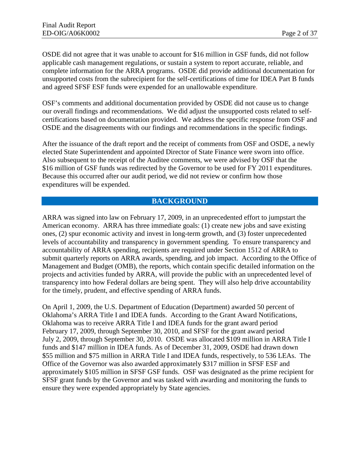OSDE did not agree that it was unable to account for \$16 million in GSF funds, did not follow applicable cash management regulations, or sustain a system to report accurate, reliable, and complete information for the ARRA programs. OSDE did provide additional documentation for unsupported costs from the subrecipient for the self-certifications of time for IDEA Part B funds and agreed SFSF ESF funds were expended for an unallowable expenditure.

OSF's comments and additional documentation provided by OSDE did not cause us to change our overall findings and recommendations. We did adjust the unsupported costs related to selfcertifications based on documentation provided. We address the specific response from OSF and OSDE and the disagreements with our findings and recommendations in the specific findings.

After the issuance of the draft report and the receipt of comments from OSF and OSDE, a newly elected State Superintendent and appointed Director of State Finance were sworn into office. Also subsequent to the receipt of the Auditee comments, we were advised by OSF that the \$16 million of GSF funds was redirected by the Governor to be used for FY 2011 expenditures. Because this occurred after our audit period, we did not review or confirm how those expenditures will be expended.

#### **BACKGROUND**

ARRA was signed into law on February 17, 2009, in an unprecedented effort to jumpstart the American economy. ARRA has three immediate goals: (1) create new jobs and save existing ones, (2) spur economic activity and invest in long-term growth, and (3) foster unprecedented levels of accountability and transparency in government spending. To ensure transparency and accountability of ARRA spending, recipients are required under Section 1512 of ARRA to submit quarterly reports on ARRA awards, spending, and job impact. According to the Office of Management and Budget (OMB), the reports, which contain specific detailed information on the projects and activities funded by ARRA, will provide the public with an unprecedented level of transparency into how Federal dollars are being spent. They will also help drive accountability for the timely, prudent, and effective spending of ARRA funds.

On April 1, 2009, the U.S. Department of Education (Department) awarded 50 percent of Oklahoma's ARRA Title I and IDEA funds. According to the Grant Award Notifications, Oklahoma was to receive ARRA Title I and IDEA funds for the grant award period February 17, 2009, through September 30, 2010, and SFSF for the grant award period July 2, 2009, through September 30, 2010. OSDE was allocated \$109 million in ARRA Title I funds and \$147 million in IDEA funds. As of December 31, 2009, OSDE had drawn down \$55 million and \$75 million in ARRA Title I and IDEA funds, respectively, to 536 LEAs. The Office of the Governor was also awarded approximately \$317 million in SFSF ESF and approximately \$105 million in SFSF GSF funds. OSF was designated as the prime recipient for SFSF grant funds by the Governor and was tasked with awarding and monitoring the funds to ensure they were expended appropriately by State agencies.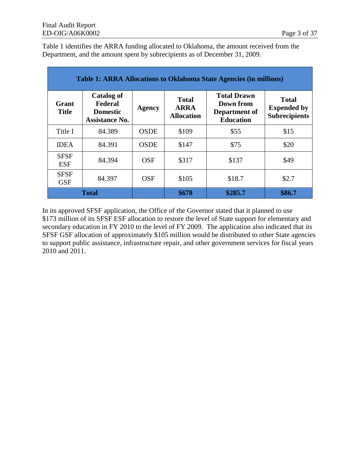Table 1 identifies the ARRA funding allocated to Oklahoma, the amount received from the Department, and the amount spent by subrecipients as of December 31, 2009.

| <b>Table 1: ARRA Allocations to Oklahoma State Agencies (in millions)</b> |                                                                          |               |                                                  |                                                                      |                                                            |
|---------------------------------------------------------------------------|--------------------------------------------------------------------------|---------------|--------------------------------------------------|----------------------------------------------------------------------|------------------------------------------------------------|
| Grant<br><b>Title</b>                                                     | <b>Catalog of</b><br>Federal<br><b>Domestic</b><br><b>Assistance No.</b> | <b>Agency</b> | <b>Total</b><br><b>ARRA</b><br><b>Allocation</b> | <b>Total Drawn</b><br>Down from<br>Department of<br><b>Education</b> | <b>Total</b><br><b>Expended by</b><br><b>Subrecipients</b> |
| Title I                                                                   | 84.389                                                                   | <b>OSDE</b>   | \$109                                            | \$55                                                                 | \$15                                                       |
| <b>IDEA</b>                                                               | 84.391                                                                   | <b>OSDE</b>   | \$147                                            | \$75                                                                 | \$20                                                       |
| <b>SFSF</b><br><b>ESF</b>                                                 | 84.394                                                                   | <b>OSF</b>    | \$317                                            | \$137                                                                | \$49                                                       |
| <b>SFSF</b><br><b>GSF</b>                                                 | 84.397                                                                   | <b>OSF</b>    | \$105                                            | \$18.7                                                               | \$2.7                                                      |
|                                                                           | <b>Total</b>                                                             |               | \$678                                            | \$285.7                                                              | \$86.7                                                     |

In its approved SFSF application, the Office of the Governor stated that it planned to use \$173 million of its SFSF ESF allocation to restore the level of State support for elementary and secondary education in FY 2010 to the level of FY 2009. The application also indicated that its SFSF GSF allocation of approximately \$105 million would be distributed to other State agencies to support public assistance, infrastructure repair, and other government services for fiscal years 2010 and 2011.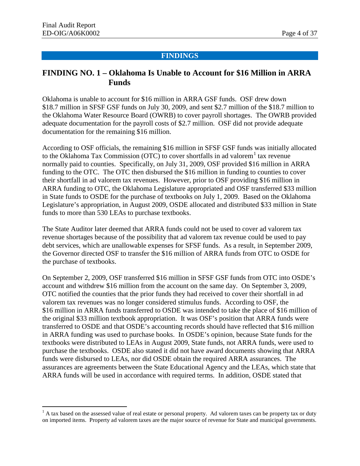$\overline{a}$ 

#### **FINDINGS**

### **FINDING NO. 1 – Oklahoma Is Unable to Account for \$16 Million in ARRA Funds**

Oklahoma is unable to account for \$16 million in ARRA GSF funds. OSF drew down \$18.7 million in SFSF GSF funds on July 30, 2009, and sent \$2.7 million of the \$18.7 million to the Oklahoma Water Resource Board (OWRB) to cover payroll shortages. The OWRB provided adequate documentation for the payroll costs of \$2.7 million. OSF did not provide adequate documentation for the remaining \$16 million.

According to OSF officials, the remaining \$16 million in SFSF GSF funds was initially allocated to the Oklahoma Tax Commission (OTC) to cover shortfalls in ad valorem<sup>[1](#page-8-0)</sup> tax revenue normally paid to counties. Specifically, on July 31, 2009, OSF provided \$16 million in ARRA funding to the OTC. The OTC then disbursed the \$16 million in funding to counties to cover their shortfall in ad valorem tax revenues. However, prior to OSF providing \$16 million in ARRA funding to OTC, the Oklahoma Legislature appropriated and OSF transferred \$33 million in State funds to OSDE for the purchase of textbooks on July 1, 2009. Based on the Oklahoma Legislature's appropriation, in August 2009, OSDE allocated and distributed \$33 million in State funds to more than 530 LEAs to purchase textbooks.

The State Auditor later deemed that ARRA funds could not be used to cover ad valorem tax revenue shortages because of the possibility that ad valorem tax revenue could be used to pay debt services, which are unallowable expenses for SFSF funds. As a result, in September 2009, the Governor directed OSF to transfer the \$16 million of ARRA funds from OTC to OSDE for the purchase of textbooks.

On September 2, 2009, OSF transferred \$16 million in SFSF GSF funds from OTC into OSDE's account and withdrew \$16 million from the account on the same day. On September 3, 2009, OTC notified the counties that the prior funds they had received to cover their shortfall in ad valorem tax revenues was no longer considered stimulus funds. According to OSF, the \$16 million in ARRA funds transferred to OSDE was intended to take the place of \$16 million of the original \$33 million textbook appropriation. It was OSF's position that ARRA funds were transferred to OSDE and that OSDE's accounting records should have reflected that \$16 million in ARRA funding was used to purchase books. In OSDE's opinion, because State funds for the textbooks were distributed to LEAs in August 2009, State funds, not ARRA funds, were used to purchase the textbooks. OSDE also stated it did not have award documents showing that ARRA funds were disbursed to LEAs, nor did OSDE obtain the required ARRA assurances. The assurances are agreements between the State Educational Agency and the LEAs, which state that ARRA funds will be used in accordance with required terms. In addition, OSDE stated that

<span id="page-8-0"></span> $<sup>1</sup>$  A tax based on the assessed value of real estate or personal property. Ad valorem taxes can be property tax or duty</sup> on imported items. Property ad valorem taxes are the major source of revenue for State and municipal governments.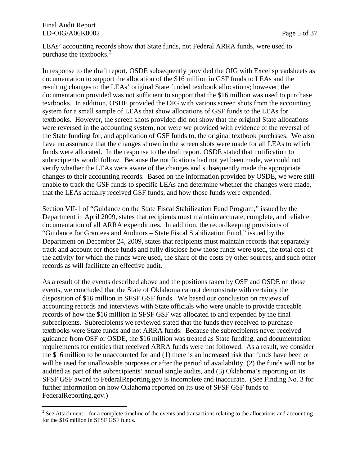LEAs' accounting records show that State funds, not Federal ARRA funds, were used to purchase the textbooks. [2](#page-9-0)

In response to the draft report, OSDE subsequently provided the OIG with Excel spreadsheets as documentation to support the allocation of the \$16 million in GSF funds to LEAs and the resulting changes to the LEAs' original State funded textbook allocations; however, the documentation provided was not sufficient to support that the \$16 million was used to purchase textbooks. In addition, OSDE provided the OIG with various screen shots from the accounting system for a small sample of LEAs that show allocations of GSF funds to the LEAs for textbooks. However, the screen shots provided did not show that the original State allocations were reversed in the accounting system, nor were we provided with evidence of the reversal of the State funding for, and application of GSF funds to, the original textbook purchases. We also have no assurance that the changes shown in the screen shots were made for all LEAs to which funds were allocated. In the response to the draft report, OSDE stated that notification to subrecipients would follow. Because the notifications had not yet been made, we could not verify whether the LEAs were aware of the changes and subsequently made the appropriate changes to their accounting records. Based on the information provided by OSDE, we were still unable to track the GSF funds to specific LEAs and determine whether the changes were made, that the LEAs actually received GSF funds, and how those funds were expended.

Section VII-1 of "Guidance on the State Fiscal Stabilization Fund Program," issued by the Department in April 2009, states that recipients must maintain accurate, complete, and reliable documentation of all ARRA expenditures. In addition, the recordkeeping provisions of "Guidance for Grantees and Auditors – State Fiscal Stabilization Fund," issued by the Department on December 24, 2009, states that recipients must maintain records that separately track and account for those funds and fully disclose how those funds were used, the total cost of the activity for which the funds were used, the share of the costs by other sources, and such other records as will facilitate an effective audit.

As a result of the events described above and the positions taken by OSF and OSDE on those events, we concluded that the State of Oklahoma cannot demonstrate with certainty the disposition of \$16 million in SFSF GSF funds. We based our conclusion on reviews of accounting records and interviews with State officials who were unable to provide traceable records of how the \$16 million in SFSF GSF was allocated to and expended by the final subrecipients. Subrecipients we reviewed stated that the funds they received to purchase textbooks were State funds and not ARRA funds. Because the subrecipients never received guidance from OSF or OSDE, the \$16 million was treated as State funding, and documentation requirements for entities that received ARRA funds were not followed. As a result, we consider the \$16 million to be unaccounted for and (1) there is an increased risk that funds have been or will be used for unallowable purposes or after the period of availability, (2) the funds will not be audited as part of the subrecipients' annual single audits, and (3) Oklahoma's reporting on its SFSF GSF award to FederalReporting.gov is incomplete and inaccurate. (See Finding No. 3 for further information on how Oklahoma reported on its use of SFSF GSF funds to FederalReporting.gov.)

<span id="page-9-0"></span><sup>&</sup>lt;sup>2</sup> See Attachment 1 for a complete timeline of the events and transactions relating to the allocations and accounting for the \$16 million in SFSF GSF funds.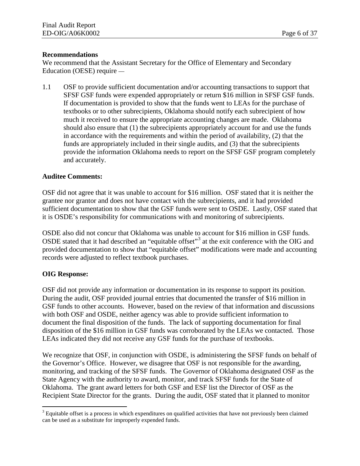#### **Recommendations**

We recommend that the Assistant Secretary for the Office of Elementary and Secondary Education (OESE) require —

1.1 OSF to provide sufficient documentation and/or accounting transactions to support that SFSF GSF funds were expended appropriately or return \$16 million in SFSF GSF funds. If documentation is provided to show that the funds went to LEAs for the purchase of textbooks or to other subrecipients, Oklahoma should notify each subrecipient of how much it received to ensure the appropriate accounting changes are made. Oklahoma should also ensure that (1) the subrecipients appropriately account for and use the funds in accordance with the requirements and within the period of availability, (2) that the funds are appropriately included in their single audits, and (3) that the subrecipients provide the information Oklahoma needs to report on the SFSF GSF program completely and accurately.

#### **Auditee Comments:**

OSF did not agree that it was unable to account for \$16 million. OSF stated that it is neither the grantee nor grantor and does not have contact with the subrecipients, and it had provided sufficient documentation to show that the GSF funds were sent to OSDE. Lastly, OSF stated that it is OSDE's responsibility for communications with and monitoring of subrecipients.

OSDE also did not concur that Oklahoma was unable to account for \$16 million in GSF funds. OSDE stated that it had described an "equitable offset"[3](#page-10-0) at the exit conference with the OIG and provided documentation to show that "equitable offset" modifications were made and accounting records were adjusted to reflect textbook purchases.

#### **OIG Response:**

OSF did not provide any information or documentation in its response to support its position. During the audit, OSF provided journal entries that documented the transfer of \$16 million in GSF funds to other accounts. However, based on the review of that information and discussions with both OSF and OSDE, neither agency was able to provide sufficient information to document the final disposition of the funds. The lack of supporting documentation for final disposition of the \$16 million in GSF funds was corroborated by the LEAs we contacted. Those LEAs indicated they did not receive any GSF funds for the purchase of textbooks.

We recognize that OSF, in conjunction with OSDE, is administering the SFSF funds on behalf of the Governor's Office. However, we disagree that OSF is not responsible for the awarding, monitoring, and tracking of the SFSF funds. The Governor of Oklahoma designated OSF as the State Agency with the authority to award, monitor, and track SFSF funds for the State of Oklahoma. The grant award letters for both GSF and ESF list the Director of OSF as the Recipient State Director for the grants. During the audit, OSF stated that it planned to monitor

<span id="page-10-0"></span> $3$  Equitable offset is a process in which expenditures on qualified activities that have not previously been claimed can be used as a substitute for improperly expended funds.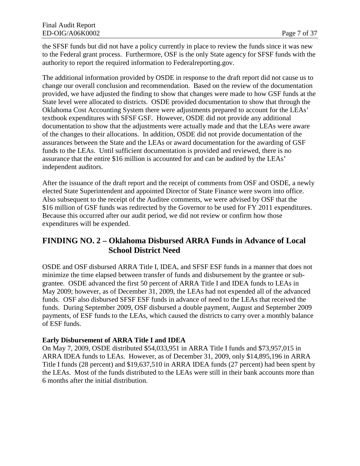the SFSF funds but did not have a policy currently in place to review the funds since it was new to the Federal grant process. Furthermore, OSF is the only State agency for SFSF funds with the authority to report the required information to Federalreporting.gov.

The additional information provided by OSDE in response to the draft report did not cause us to change our overall conclusion and recommendation. Based on the review of the documentation provided, we have adjusted the finding to show that changes were made to how GSF funds at the State level were allocated to districts. OSDE provided documentation to show that through the Oklahoma Cost Accounting System there were adjustments prepared to account for the LEAs' textbook expenditures with SFSF GSF. However, OSDE did not provide any additional documentation to show that the adjustments were actually made and that the LEAs were aware of the changes to their allocations. In addition, OSDE did not provide documentation of the assurances between the State and the LEAs or award documentation for the awarding of GSF funds to the LEAs. Until sufficient documentation is provided and reviewed, there is no assurance that the entire \$16 million is accounted for and can be audited by the LEAs' independent auditors.

After the issuance of the draft report and the receipt of comments from OSF and OSDE, a newly elected State Superintendent and appointed Director of State Finance were sworn into office. Also subsequent to the receipt of the Auditee comments, we were advised by OSF that the \$16 million of GSF funds was redirected by the Governor to be used for FY 2011 expenditures. Because this occurred after our audit period, we did not review or confirm how those expenditures will be expended.

## **FINDING NO. 2 – Oklahoma Disbursed ARRA Funds in Advance of Local School District Need**

OSDE and OSF disbursed ARRA Title I, IDEA, and SFSF ESF funds in a manner that does not minimize the time elapsed between transfer of funds and disbursement by the grantee or subgrantee. OSDE advanced the first 50 percent of ARRA Title I and IDEA funds to LEAs in May 2009; however, as of December 31, 2009, the LEAs had not expended all of the advanced funds. OSF also disbursed SFSF ESF funds in advance of need to the LEAs that received the funds. During September 2009, OSF disbursed a double payment, August and September 2009 payments, of ESF funds to the LEAs, which caused the districts to carry over a monthly balance of ESF funds.

#### **Early Disbursement of ARRA Title I and IDEA**

On May 7, 2009, OSDE distributed \$54,033,951 in ARRA Title I funds and \$73,957,015 in ARRA IDEA funds to LEAs. However, as of December 31, 2009, only \$14,895,196 in ARRA Title I funds (28 percent) and \$19,637,510 in ARRA IDEA funds (27 percent) had been spent by the LEAs. Most of the funds distributed to the LEAs were still in their bank accounts more than 6 months after the initial distribution.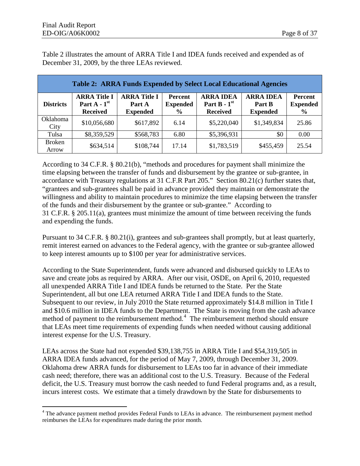Table 2 illustrates the amount of ARRA Title I and IDEA funds received and expended as of December 31, 2009, by the three LEAs reviewed.

| <b>Table 2: ARRA Funds Expended by Select Local Educational Agencies</b> |                                                          |                                                  |                                                    |                                                       |                                               |                                                    |
|--------------------------------------------------------------------------|----------------------------------------------------------|--------------------------------------------------|----------------------------------------------------|-------------------------------------------------------|-----------------------------------------------|----------------------------------------------------|
| <b>Districts</b>                                                         | <b>ARRA Title I</b><br>Part $A - 1st$<br><b>Received</b> | <b>ARRA Title I</b><br>Part A<br><b>Expended</b> | <b>Percent</b><br><b>Expended</b><br>$\frac{0}{0}$ | <b>ARRA IDEA</b><br>Part $B - 1st$<br><b>Received</b> | <b>ARRA IDEA</b><br>Part B<br><b>Expended</b> | <b>Percent</b><br><b>Expended</b><br>$\frac{6}{9}$ |
| Oklahoma<br>City                                                         | \$10,056,680                                             | \$617,892                                        | 6.14                                               | \$5,220,040                                           | \$1,349,834                                   | 25.86                                              |
| Tulsa                                                                    | \$8,359,529                                              | \$568,783                                        | 6.80                                               | \$5,396,931                                           | \$0                                           | 0.00                                               |
| <b>Broken</b><br>Arrow                                                   | \$634,514                                                | \$108,744                                        | 17.14                                              | \$1,783,519                                           | \$455,459                                     | 25.54                                              |

According to 34 C.F.R. § 80.21(b), "methods and procedures for payment shall minimize the time elapsing between the transfer of funds and disbursement by the grantee or sub-grantee, in accordance with Treasury regulations at 31 C.F.R Part 205." Section 80.21(c) further states that, "grantees and sub-grantees shall be paid in advance provided they maintain or demonstrate the willingness and ability to maintain procedures to minimize the time elapsing between the transfer of the funds and their disbursement by the grantee or sub-grantee." According to 31 C.F.R. § 205.11(a), grantees must minimize the amount of time between receiving the funds and expending the funds.

Pursuant to 34 C.F.R. § 80.21(i), grantees and sub-grantees shall promptly, but at least quarterly, remit interest earned on advances to the Federal agency, with the grantee or sub-grantee allowed to keep interest amounts up to \$100 per year for administrative services.

According to the State Superintendent, funds were advanced and disbursed quickly to LEAs to save and create jobs as required by ARRA. After our visit, OSDE, on April 6, 2010, requested all unexpended ARRA Title I and IDEA funds be returned to the State. Per the State Superintendent, all but one LEA returned ARRA Title I and IDEA funds to the State. Subsequent to our review, in July 2010 the State returned approximately \$14.8 million in Title I and \$10.6 million in IDEA funds to the Department. The State is moving from the cash advance method of payment to the reimbursement method.<sup>[4](#page-12-0)</sup> The reimbursement method should ensure that LEAs meet time requirements of expending funds when needed without causing additional interest expense for the U.S. Treasury.

LEAs across the State had not expended \$39,138,755 in ARRA Title I and \$54,319,505 in ARRA IDEA funds advanced, for the period of May 7, 2009, through December 31, 2009. Oklahoma drew ARRA funds for disbursement to LEAs too far in advance of their immediate cash need; therefore, there was an additional cost to the U.S. Treasury. Because of the Federal deficit, the U.S. Treasury must borrow the cash needed to fund Federal programs and, as a result, incurs interest costs. We estimate that a timely drawdown by the State for disbursements to

<span id="page-12-0"></span><sup>&</sup>lt;sup>4</sup> The advance payment method provides Federal Funds to LEAs in advance. The reimbursement payment method reimburses the LEAs for expenditures made during the prior month.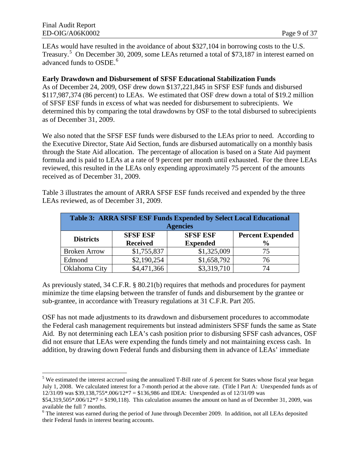LEAs would have resulted in the avoidance of about \$327,104 in borrowing costs to the U.S. Treasury.<sup>[5](#page-13-0)</sup> On December 30, 2009, some LEAs returned a total of \$73,187 in interest earned on advanced funds to OSDE.<sup>[6](#page-13-1)</sup>

#### **Early Drawdown and Disbursement of SFSF Educational Stabilization Funds**

As of December 24, 2009, OSF drew down \$137,221,845 in SFSF ESF funds and disbursed \$117,987,374 (86 percent) to LEAs. We estimated that OSF drew down a total of \$19.2 million of SFSF ESF funds in excess of what was needed for disbursement to subrecipients. We determined this by comparing the total drawdowns by OSF to the total disbursed to subrecipients as of December 31, 2009.

We also noted that the SFSF ESF funds were disbursed to the LEAs prior to need. According to the Executive Director, State Aid Section, funds are disbursed automatically on a monthly basis through the State Aid allocation. The percentage of allocation is based on a State Aid payment formula and is paid to LEAs at a rate of 9 percent per month until exhausted. For the three LEAs reviewed, this resulted in the LEAs only expending approximately 75 percent of the amounts received as of December 31, 2009.

Table 3 illustrates the amount of ARRA SFSF ESF funds received and expended by the three LEAs reviewed, as of December 31, 2009.

| Table 3: ARRA SFSF ESF Funds Expended by Select Local Educational |                 |                 |                         |  |
|-------------------------------------------------------------------|-----------------|-----------------|-------------------------|--|
|                                                                   |                 | <b>Agencies</b> |                         |  |
| <b>Districts</b>                                                  | <b>SFSF ESF</b> | <b>SFSF ESF</b> | <b>Percent Expended</b> |  |
|                                                                   | <b>Received</b> | <b>Expended</b> | $\frac{6}{9}$           |  |
| <b>Broken Arrow</b>                                               | \$1,755,837     | \$1,325,009     | 75                      |  |
| Edmond                                                            | \$2,190,254     | \$1,658,792     | 76                      |  |
| Oklahoma City                                                     | \$4,471,366     | \$3,319,710     | 74                      |  |

As previously stated, 34 C.F.R. § 80.21(b) requires that methods and procedures for payment minimize the time elapsing between the transfer of funds and disbursement by the grantee or sub-grantee, in accordance with Treasury regulations at 31 C.F.R. Part 205.

OSF has not made adjustments to its drawdown and disbursement procedures to accommodate the Federal cash management requirements but instead administers SFSF funds the same as State Aid. By not determining each LEA's cash position prior to disbursing SFSF cash advances, OSF did not ensure that LEAs were expending the funds timely and not maintaining excess cash. In addition, by drawing down Federal funds and disbursing them in advance of LEAs' immediate

<span id="page-13-0"></span> $\overline{a}$ <sup>5</sup> We estimated the interest accrued using the annualized T-Bill rate of .6 percent for States whose fiscal year began July 1, 2008. We calculated interest for a 7-month period at the above rate. (Title I Part A: Unexpended funds as of 12/31/09 was \$39,138,755\*.006/12\*7 = \$136,986 and IDEA: Unexpended as of 12/31/09 was

 $$54,319,505*.006/12*7 = $190,118$ . This calculation assumes the amount on hand as of December 31, 2009, was available the full 7 months.

<span id="page-13-1"></span><sup>&</sup>lt;sup>6</sup> The interest was earned during the period of June through December 2009. In addition, not all LEAs deposited their Federal funds in interest bearing accounts.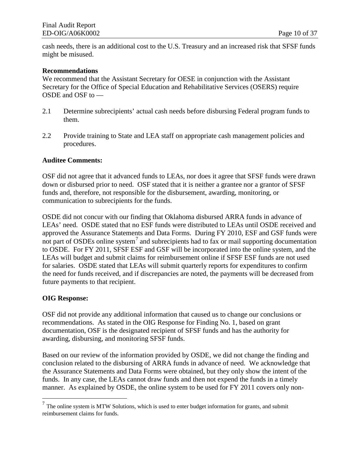cash needs, there is an additional cost to the U.S. Treasury and an increased risk that SFSF funds might be misused.

#### **Recommendations**

We recommend that the Assistant Secretary for OESE in conjunction with the Assistant Secretary for the Office of Special Education and Rehabilitative Services (OSERS) require OSDE and OSF to —

- 2.1 Determine subrecipients' actual cash needs before disbursing Federal program funds to them.
- 2.2 Provide training to State and LEA staff on appropriate cash management policies and procedures.

#### **Auditee Comments:**

OSF did not agree that it advanced funds to LEAs, nor does it agree that SFSF funds were drawn down or disbursed prior to need. OSF stated that it is neither a grantee nor a grantor of SFSF funds and, therefore, not responsible for the disbursement, awarding, monitoring, or communication to subrecipients for the funds.

OSDE did not concur with our finding that Oklahoma disbursed ARRA funds in advance of LEAs' need. OSDE stated that no ESF funds were distributed to LEAs until OSDE received and approved the Assurance Statements and Data Forms. During FY 2010, ESF and GSF funds were not part of OSDEs online system<sup>[7](#page-14-0)</sup> and subrecipients had to fax or mail supporting documentation to OSDE. For FY 2011, SFSF ESF and GSF will be incorporated into the online system, and the LEAs will budget and submit claims for reimbursement online if SFSF ESF funds are not used for salaries. OSDE stated that LEAs will submit quarterly reports for expenditures to confirm the need for funds received, and if discrepancies are noted, the payments will be decreased from future payments to that recipient.

#### **OIG Response:**

 $\overline{a}$ 

OSF did not provide any additional information that caused us to change our conclusions or recommendations. As stated in the OIG Response for Finding No. 1, based on grant documentation, OSF is the designated recipient of SFSF funds and has the authority for awarding, disbursing, and monitoring SFSF funds.

Based on our review of the information provided by OSDE, we did not change the finding and conclusion related to the disbursing of ARRA funds in advance of need. We acknowledge that the Assurance Statements and Data Forms were obtained, but they only show the intent of the funds. In any case, the LEAs cannot draw funds and then not expend the funds in a timely manner. As explained by OSDE, the online system to be used for FY 2011 covers only non-

<span id="page-14-0"></span> $<sup>7</sup>$  The online system is MTW Solutions, which is used to enter budget information for grants, and submit</sup> reimbursement claims for funds.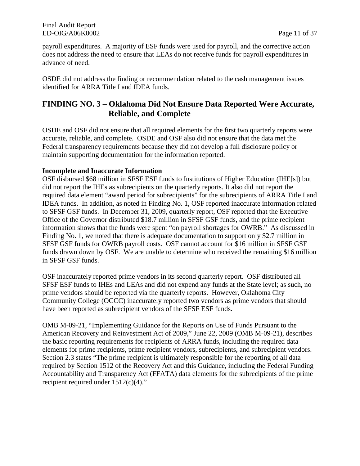payroll expenditures. A majority of ESF funds were used for payroll, and the corrective action does not address the need to ensure that LEAs do not receive funds for payroll expenditures in advance of need.

OSDE did not address the finding or recommendation related to the cash management issues identified for ARRA Title I and IDEA funds.

## **FINDING NO. 3 – Oklahoma Did Not Ensure Data Reported Were Accurate, Reliable, and Complete**

OSDE and OSF did not ensure that all required elements for the first two quarterly reports were accurate, reliable, and complete. OSDE and OSF also did not ensure that the data met the Federal transparency requirements because they did not develop a full disclosure policy or maintain supporting documentation for the information reported.

#### **Incomplete and Inaccurate Information**

OSF disbursed \$68 million in SFSF ESF funds to Institutions of Higher Education (IHE[s]) but did not report the IHEs as subrecipients on the quarterly reports. It also did not report the required data element "award period for subrecipients" for the subrecipients of ARRA Title I and IDEA funds. In addition, as noted in Finding No. 1, OSF reported inaccurate information related to SFSF GSF funds. In December 31, 2009, quarterly report, OSF reported that the Executive Office of the Governor distributed \$18.7 million in SFSF GSF funds, and the prime recipient information shows that the funds were spent "on payroll shortages for OWRB." As discussed in Finding No. 1, we noted that there is adequate documentation to support only \$2.7 million in SFSF GSF funds for OWRB payroll costs. OSF cannot account for \$16 million in SFSF GSF funds drawn down by OSF. We are unable to determine who received the remaining \$16 million in SFSF GSF funds.

OSF inaccurately reported prime vendors in its second quarterly report. OSF distributed all SFSF ESF funds to IHEs and LEAs and did not expend any funds at the State level; as such, no prime vendors should be reported via the quarterly reports. However, Oklahoma City Community College (OCCC) inaccurately reported two vendors as prime vendors that should have been reported as subrecipient vendors of the SFSF ESF funds.

OMB M-09-21, "Implementing Guidance for the Reports on Use of Funds Pursuant to the American Recovery and Reinvestment Act of 2009," June 22, 2009 (OMB M-09-21), describes the basic reporting requirements for recipients of ARRA funds, including the required data elements for prime recipients, prime recipient vendors, subrecipients, and subrecipient vendors. Section 2.3 states "The prime recipient is ultimately responsible for the reporting of all data required by Section 1512 of the Recovery Act and this Guidance, including the Federal Funding Accountability and Transparency Act (FFATA) data elements for the subrecipients of the prime recipient required under  $1512(c)(4)$ ."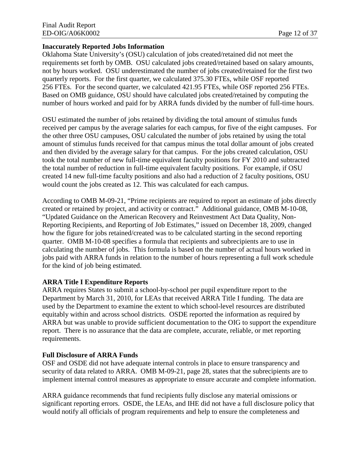#### **Inaccurately Reported Jobs Information**

Oklahoma State University's (OSU) calculation of jobs created/retained did not meet the requirements set forth by OMB. OSU calculated jobs created/retained based on salary amounts, not by hours worked. OSU underestimated the number of jobs created/retained for the first two quarterly reports. For the first quarter, we calculated 375.30 FTEs, while OSF reported 256 FTEs. For the second quarter, we calculated 421.95 FTEs, while OSF reported 256 FTEs. Based on OMB guidance, OSU should have calculated jobs created/retained by computing the number of hours worked and paid for by ARRA funds divided by the number of full-time hours.

OSU estimated the number of jobs retained by dividing the total amount of stimulus funds received per campus by the average salaries for each campus, for five of the eight campuses. For the other three OSU campuses, OSU calculated the number of jobs retained by using the total amount of stimulus funds received for that campus minus the total dollar amount of jobs created and then divided by the average salary for that campus. For the jobs created calculation, OSU took the total number of new full-time equivalent faculty positions for FY 2010 and subtracted the total number of reduction in full-time equivalent faculty positions. For example, if OSU created 14 new full-time faculty positions and also had a reduction of 2 faculty positions, OSU would count the jobs created as 12. This was calculated for each campus.

According to OMB M-09-21, "Prime recipients are required to report an estimate of jobs directly created or retained by project, and activity or contract." Additional guidance, OMB M-10-08, "Updated Guidance on the American Recovery and Reinvestment Act Data Quality, Non-Reporting Recipients, and Reporting of Job Estimates," issued on December 18, 2009, changed how the figure for jobs retained/created was to be calculated starting in the second reporting quarter. OMB M-10-08 specifies a formula that recipients and subrecipients are to use in calculating the number of jobs. This formula is based on the number of actual hours worked in jobs paid with ARRA funds in relation to the number of hours representing a full work schedule for the kind of job being estimated.

#### **ARRA Title I Expenditure Reports**

ARRA requires States to submit a school-by-school per pupil expenditure report to the Department by March 31, 2010, for LEAs that received ARRA Title I funding. The data are used by the Department to examine the extent to which school-level resources are distributed equitably within and across school districts. OSDE reported the information as required by ARRA but was unable to provide sufficient documentation to the OIG to support the expenditure report. There is no assurance that the data are complete, accurate, reliable, or met reporting requirements.

#### **Full Disclosure of ARRA Funds**

OSF and OSDE did not have adequate internal controls in place to ensure transparency and security of data related to ARRA. OMB M-09-21, page 28, states that the subrecipients are to implement internal control measures as appropriate to ensure accurate and complete information.

ARRA guidance recommends that fund recipients fully disclose any material omissions or significant reporting errors. OSDE, the LEAs, and IHE did not have a full disclosure policy that would notify all officials of program requirements and help to ensure the completeness and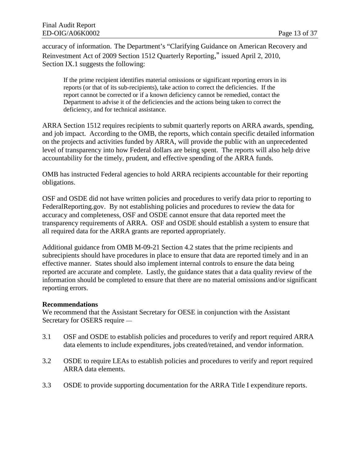accuracy of information. The Department's "Clarifying Guidance on American Recovery and Reinvestment Act of 2009 Section 1512 Quarterly Reporting," issued April 2, 2010, Section IX.1 suggests the following:

If the prime recipient identifies material omissions or significant reporting errors in its reports (or that of its sub-recipients), take action to correct the deficiencies. If the report cannot be corrected or if a known deficiency cannot be remedied, contact the Department to advise it of the deficiencies and the actions being taken to correct the deficiency, and for technical assistance.

ARRA Section 1512 requires recipients to submit quarterly reports on ARRA awards, spending, and job impact. According to the OMB, the reports, which contain specific detailed information on the projects and activities funded by ARRA, will provide the public with an unprecedented level of transparency into how Federal dollars are being spent. The reports will also help drive accountability for the timely, prudent, and effective spending of the ARRA funds.

OMB has instructed Federal agencies to hold ARRA recipients accountable for their reporting obligations.

OSF and OSDE did not have written policies and procedures to verify data prior to reporting to FederalReporting.gov. By not establishing policies and procedures to review the data for accuracy and completeness, OSF and OSDE cannot ensure that data reported meet the transparency requirements of ARRA. OSF and OSDE should establish a system to ensure that all required data for the ARRA grants are reported appropriately.

Additional guidance from OMB M-09-21 Section 4.2 states that the prime recipients and subrecipients should have procedures in place to ensure that data are reported timely and in an effective manner. States should also implement internal controls to ensure the data being reported are accurate and complete. Lastly, the guidance states that a data quality review of the information should be completed to ensure that there are no material omissions and/or significant reporting errors.

#### **Recommendations**

We recommend that the Assistant Secretary for OESE in conjunction with the Assistant Secretary for OSERS require —

- 3.1 OSF and OSDE to establish policies and procedures to verify and report required ARRA data elements to include expenditures, jobs created/retained, and vendor information.
- 3.2 OSDE to require LEAs to establish policies and procedures to verify and report required ARRA data elements.
- 3.3 OSDE to provide supporting documentation for the ARRA Title I expenditure reports.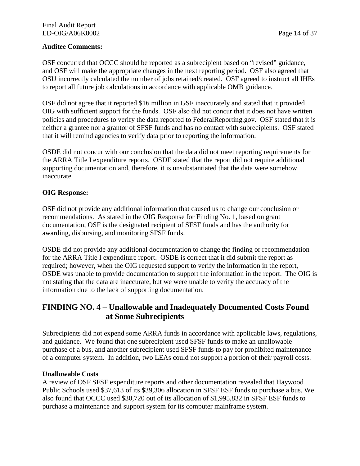#### **Auditee Comments:**

OSF concurred that OCCC should be reported as a subrecipient based on "revised" guidance, and OSF will make the appropriate changes in the next reporting period. OSF also agreed that OSU incorrectly calculated the number of jobs retained/created. OSF agreed to instruct all IHEs to report all future job calculations in accordance with applicable OMB guidance.

OSF did not agree that it reported \$16 million in GSF inaccurately and stated that it provided OIG with sufficient support for the funds. OSF also did not concur that it does not have written policies and procedures to verify the data reported to FederalReporting.gov. OSF stated that it is neither a grantee nor a grantor of SFSF funds and has no contact with subrecipients. OSF stated that it will remind agencies to verify data prior to reporting the information.

OSDE did not concur with our conclusion that the data did not meet reporting requirements for the ARRA Title I expenditure reports. OSDE stated that the report did not require additional supporting documentation and, therefore, it is unsubstantiated that the data were somehow inaccurate.

#### **OIG Response:**

OSF did not provide any additional information that caused us to change our conclusion or recommendations. As stated in the OIG Response for Finding No. 1, based on grant documentation, OSF is the designated recipient of SFSF funds and has the authority for awarding, disbursing, and monitoring SFSF funds.

OSDE did not provide any additional documentation to change the finding or recommendation for the ARRA Title I expenditure report. OSDE is correct that it did submit the report as required; however, when the OIG requested support to verify the information in the report, OSDE was unable to provide documentation to support the information in the report. The OIG is not stating that the data are inaccurate, but we were unable to verify the accuracy of the information due to the lack of supporting documentation.

## **FINDING NO. 4 – Unallowable and Inadequately Documented Costs Found at Some Subrecipients**

Subrecipients did not expend some ARRA funds in accordance with applicable laws, regulations, and guidance. We found that one subrecipient used SFSF funds to make an unallowable purchase of a bus, and another subrecipient used SFSF funds to pay for prohibited maintenance of a computer system. In addition, two LEAs could not support a portion of their payroll costs.

#### **Unallowable Costs**

A review of OSF SFSF expenditure reports and other documentation revealed that Haywood Public Schools used \$37,613 of its \$39,306 allocation in SFSF ESF funds to purchase a bus. We also found that OCCC used \$30,720 out of its allocation of \$1,995,832 in SFSF ESF funds to purchase a maintenance and support system for its computer mainframe system.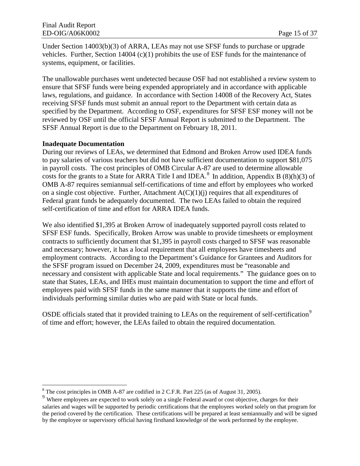Under Section 14003(b)(3) of ARRA, LEAs may not use SFSF funds to purchase or upgrade vehicles. Further, Section 14004 (c)(1) prohibits the use of ESF funds for the maintenance of systems, equipment, or facilities.

The unallowable purchases went undetected because OSF had not established a review system to ensure that SFSF funds were being expended appropriately and in accordance with applicable laws, regulations, and guidance. In accordance with Section 14008 of the Recovery Act, States receiving SFSF funds must submit an annual report to the Department with certain data as specified by the Department. According to OSF, expenditures for SFSF ESF money will not be reviewed by OSF until the official SFSF Annual Report is submitted to the Department. The SFSF Annual Report is due to the Department on February 18, 2011.

#### **Inadequate Documentation**

During our reviews of LEAs, we determined that Edmond and Broken Arrow used IDEA funds to pay salaries of various teachers but did not have sufficient documentation to support \$81,075 in payroll costs. The cost principles of OMB Circular A-87 are used to determine allowable costs for the grants to a State for ARRA Title I and IDEA.<sup>[8](#page-19-0)</sup> In addition, Appendix B (8)(h)(3) of self-certification of time and effort for ARRA IDEA funds. OMB A-87 requires semiannual self-certifications of time and effort by employees who worked on a single cost objective. Further, Attachment  $A(C)(1)(i)$  requires that all expenditures of Federal grant funds be adequately documented. The two LEAs failed to obtain the required

We also identified \$1,395 at Broken Arrow of inadequately supported payroll costs related to SFSF ESF funds. Specifically, Broken Arrow was unable to provide timesheets or employment contracts to sufficiently document that \$1,395 in payroll costs charged to SFSF was reasonable and necessary; however, it has a local requirement that all employees have timesheets and employment contracts. According to the Department's Guidance for Grantees and Auditors for the SFSF program issued on December 24, 2009, expenditures must be "reasonable and necessary and consistent with applicable State and local requirements." The guidance goes on to state that States, LEAs, and IHEs must maintain documentation to support the time and effort of employees paid with SFSF funds in the same manner that it supports the time and effort of individuals performing similar duties who are paid with State or local funds.

OSDE officials stated that it provided training to LEAs on the requirement of self-certification<sup>[9](#page-19-1)</sup> of time and effort; however, the LEAs failed to obtain the required documentation.

 $\overline{a}$ <sup>8</sup> The cost principles in OMB A-87 are codified in 2 C.F.R. Part 225 (as of August 31, 2005).

<span id="page-19-1"></span><span id="page-19-0"></span><sup>&</sup>lt;sup>9</sup> Where employees are expected to work solely on a single Federal award or cost objective, charges for their salaries and wages will be supported by periodic certifications that the employees worked solely on that program for the period covered by the certification. These certifications will be prepared at least semiannually and will be signed by the employee or supervisory official having firsthand knowledge of the work performed by the employee.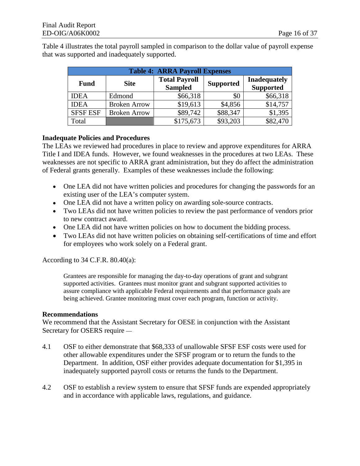Table 4 illustrates the total payroll sampled in comparison to the dollar value of payroll expense that was supported and inadequately supported.

| <b>Table 4: ARRA Payroll Expenses</b> |                     |                                        |                  |                                         |  |
|---------------------------------------|---------------------|----------------------------------------|------------------|-----------------------------------------|--|
| <b>Fund</b>                           | <b>Site</b>         | <b>Total Payroll</b><br><b>Sampled</b> | <b>Supported</b> | <b>Inadequately</b><br><b>Supported</b> |  |
| <b>IDEA</b>                           | Edmond              | \$66,318                               | \$0              | \$66,318                                |  |
| <b>IDEA</b>                           | <b>Broken Arrow</b> | \$19,613                               | \$4,856          | \$14,757                                |  |
| <b>SFSF ESF</b>                       | <b>Broken Arrow</b> | \$89,742                               | \$88,347         | \$1,395                                 |  |
| Total                                 |                     | \$175,673                              | \$93,203         | \$82,470                                |  |

#### **Inadequate Policies and Procedures**

The LEAs we reviewed had procedures in place to review and approve expenditures for ARRA Title I and IDEA funds. However, we found weaknesses in the procedures at two LEAs. These weaknesses are not specific to ARRA grant administration, but they do affect the administration of Federal grants generally. Examples of these weaknesses include the following:

- One LEA did not have written policies and procedures for changing the passwords for an existing user of the LEA's computer system.
- One LEA did not have a written policy on awarding sole-source contracts.
- Two LEAs did not have written policies to review the past performance of vendors prior to new contract award.
- One LEA did not have written policies on how to document the bidding process.
- Two LEAs did not have written policies on obtaining self-certifications of time and effort for employees who work solely on a Federal grant.

According to 34 C.F.R. 80.40(a):

Grantees are responsible for managing the day-to-day operations of grant and subgrant supported activities. Grantees must monitor grant and subgrant supported activities to assure compliance with applicable Federal requirements and that performance goals are being achieved. Grantee monitoring must cover each program, function or activity.

#### **Recommendations**

We recommend that the Assistant Secretary for OESE in conjunction with the Assistant Secretary for OSERS require —

- 4.1 OSF to either demonstrate that \$68,333 of unallowable SFSF ESF costs were used for other allowable expenditures under the SFSF program or to return the funds to the Department. In addition, OSF either provides adequate documentation for \$1,395 in inadequately supported payroll costs or returns the funds to the Department.
- 4.2 OSF to establish a review system to ensure that SFSF funds are expended appropriately and in accordance with applicable laws, regulations, and guidance.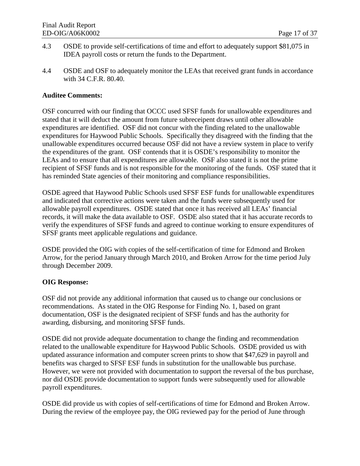- 4.3 OSDE to provide self-certifications of time and effort to adequately support \$81,075 in IDEA payroll costs or return the funds to the Department.
- 4.4 OSDE and OSF to adequately monitor the LEAs that received grant funds in accordance with 34 C.F.R. 80.40.

#### **Auditee Comments:**

OSF concurred with our finding that OCCC used SFSF funds for unallowable expenditures and stated that it will deduct the amount from future subreceipent draws until other allowable expenditures are identified. OSF did not concur with the finding related to the unallowable expenditures for Haywood Public Schools. Specifically they disagreed with the finding that the unallowable expenditures occurred because OSF did not have a review system in place to verify the expenditures of the grant. OSF contends that it is OSDE's responsibility to monitor the LEAs and to ensure that all expenditures are allowable. OSF also stated it is not the prime recipient of SFSF funds and is not responsible for the monitoring of the funds. OSF stated that it has reminded State agencies of their monitoring and compliance responsibilities.

OSDE agreed that Haywood Public Schools used SFSF ESF funds for unallowable expenditures and indicated that corrective actions were taken and the funds were subsequently used for allowable payroll expenditures. OSDE stated that once it has received all LEAs' financial records, it will make the data available to OSF. OSDE also stated that it has accurate records to verify the expenditures of SFSF funds and agreed to continue working to ensure expenditures of SFSF grants meet applicable regulations and guidance.

OSDE provided the OIG with copies of the self-certification of time for Edmond and Broken Arrow, for the period January through March 2010, and Broken Arrow for the time period July through December 2009.

#### **OIG Response:**

OSF did not provide any additional information that caused us to change our conclusions or recommendations. As stated in the OIG Response for Finding No. 1, based on grant documentation, OSF is the designated recipient of SFSF funds and has the authority for awarding, disbursing, and monitoring SFSF funds.

OSDE did not provide adequate documentation to change the finding and recommendation related to the unallowable expenditure for Haywood Public Schools. OSDE provided us with updated assurance information and computer screen prints to show that \$47,629 in payroll and benefits was charged to SFSF ESF funds in substitution for the unallowable bus purchase. However, we were not provided with documentation to support the reversal of the bus purchase, nor did OSDE provide documentation to support funds were subsequently used for allowable payroll expenditures.

OSDE did provide us with copies of self-certifications of time for Edmond and Broken Arrow. During the review of the employee pay, the OIG reviewed pay for the period of June through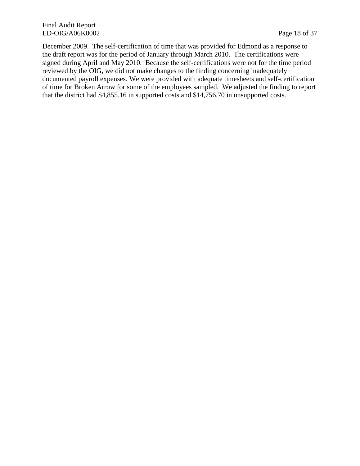December 2009. The self-certification of time that was provided for Edmond as a response to the draft report was for the period of January through March 2010. The certifications were signed during April and May 2010. Because the self-certifications were not for the time period reviewed by the OIG, we did not make changes to the finding concerning inadequately documented payroll expenses. We were provided with adequate timesheets and self-certification of time for Broken Arrow for some of the employees sampled. We adjusted the finding to report that the district had \$4,855.16 in supported costs and \$14,756.70 in unsupported costs.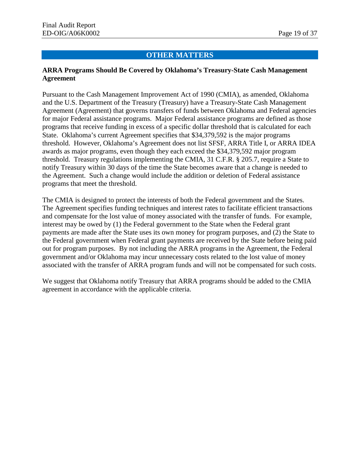#### **OTHER MATTERS**

#### **ARRA Programs Should Be Covered by Oklahoma's Treasury-State Cash Management Agreement**

Pursuant to the Cash Management Improvement Act of 1990 (CMIA), as amended, Oklahoma and the U.S. Department of the Treasury (Treasury) have a Treasury-State Cash Management Agreement (Agreement) that governs transfers of funds between Oklahoma and Federal agencies for major Federal assistance programs. Major Federal assistance programs are defined as those programs that receive funding in excess of a specific dollar threshold that is calculated for each State. Oklahoma's current Agreement specifies that \$34,379,592 is the major programs threshold. However, Oklahoma's Agreement does not list SFSF, ARRA Title I, or ARRA IDEA awards as major programs, even though they each exceed the \$34,379,592 major program threshold. Treasury regulations implementing the CMIA, 31 C.F.R. § 205.7, require a State to notify Treasury within 30 days of the time the State becomes aware that a change is needed to the Agreement. Such a change would include the addition or deletion of Federal assistance programs that meet the threshold.

The CMIA is designed to protect the interests of both the Federal government and the States. The Agreement specifies funding techniques and interest rates to facilitate efficient transactions and compensate for the lost value of money associated with the transfer of funds. For example, interest may be owed by (1) the Federal government to the State when the Federal grant payments are made after the State uses its own money for program purposes, and (2) the State to the Federal government when Federal grant payments are received by the State before being paid out for program purposes. By not including the ARRA programs in the Agreement, the Federal government and/or Oklahoma may incur unnecessary costs related to the lost value of money associated with the transfer of ARRA program funds and will not be compensated for such costs.

We suggest that Oklahoma notify Treasury that ARRA programs should be added to the CMIA agreement in accordance with the applicable criteria.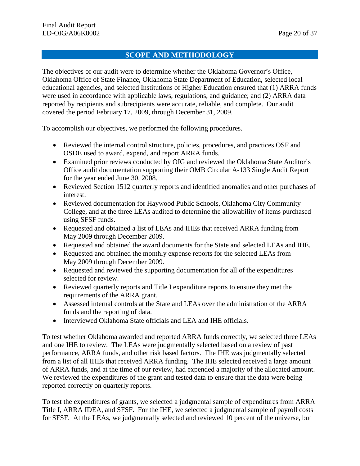#### **SCOPE AND METHODOLOGY**

The objectives of our audit were to determine whether the Oklahoma Governor's Office, Oklahoma Office of State Finance, Oklahoma State Department of Education, selected local educational agencies, and selected Institutions of Higher Education ensured that (1) ARRA funds were used in accordance with applicable laws, regulations, and guidance; and (2) ARRA data reported by recipients and subrecipients were accurate, reliable, and complete. Our audit covered the period February 17, 2009, through December 31, 2009.

To accomplish our objectives, we performed the following procedures.

- Reviewed the internal control structure, policies, procedures, and practices OSF and OSDE used to award, expend, and report ARRA funds.
- Examined prior reviews conducted by OIG and reviewed the Oklahoma State Auditor's Office audit documentation supporting their OMB Circular A-133 Single Audit Report for the year ended June 30, 2008.
- Reviewed Section 1512 quarterly reports and identified anomalies and other purchases of interest.
- Reviewed documentation for Haywood Public Schools, Oklahoma City Community College, and at the three LEAs audited to determine the allowability of items purchased using SFSF funds.
- Requested and obtained a list of LEAs and IHEs that received ARRA funding from May 2009 through December 2009.
- Requested and obtained the award documents for the State and selected LEAs and IHE.
- Requested and obtained the monthly expense reports for the selected LEAs from May 2009 through December 2009.
- Requested and reviewed the supporting documentation for all of the expenditures selected for review.
- Reviewed quarterly reports and Title I expenditure reports to ensure they met the requirements of the ARRA grant.
- Assessed internal controls at the State and LEAs over the administration of the ARRA funds and the reporting of data.
- Interviewed Oklahoma State officials and LEA and IHE officials.

To test whether Oklahoma awarded and reported ARRA funds correctly, we selected three LEAs and one IHE to review. The LEAs were judgmentally selected based on a review of past performance, ARRA funds, and other risk based factors. The IHE was judgmentally selected from a list of all IHEs that received ARRA funding. The IHE selected received a large amount of ARRA funds, and at the time of our review, had expended a majority of the allocated amount. We reviewed the expenditures of the grant and tested data to ensure that the data were being reported correctly on quarterly reports.

To test the expenditures of grants, we selected a judgmental sample of expenditures from ARRA Title I, ARRA IDEA, and SFSF. For the IHE, we selected a judgmental sample of payroll costs for SFSF. At the LEAs, we judgmentally selected and reviewed 10 percent of the universe, but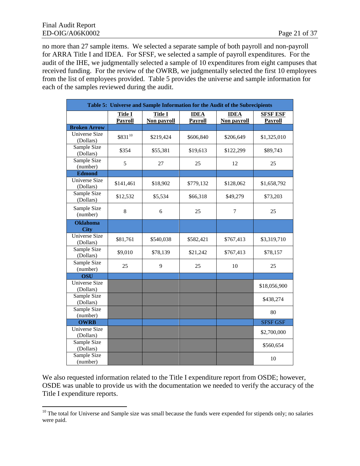no more than 27 sample items. We selected a separate sample of both payroll and non-payroll for ARRA Title I and IDEA. For SFSF, we selected a sample of payroll expenditures. For the audit of the IHE, we judgmentally selected a sample of 10 expenditures from eight campuses that received funding. For the review of the OWRB, we judgmentally selected the first 10 employees from the list of employees provided. Table 5 provides the universe and sample information for each of the samples reviewed during the audit.

|                                   | Table 5: Universe and Sample Information for the Audit of the Subrecipients |                        |                        |                            |                                   |
|-----------------------------------|-----------------------------------------------------------------------------|------------------------|------------------------|----------------------------|-----------------------------------|
|                                   | <b>Title I</b><br>Payroll                                                   | Title I<br>Non payroll | <b>IDEA</b><br>Payroll | <b>IDEA</b><br>Non payroll | <b>SFSF ESF</b><br><b>Payroll</b> |
| <b>Broken Arrow</b>               |                                                                             |                        |                        |                            |                                   |
| <b>Universe Size</b><br>(Dollars) | \$83110                                                                     | \$219,424              | \$606,840              | \$206,649                  | \$1,325,010                       |
| Sample Size<br>(Dollars)          | \$354                                                                       | \$55,381               | \$19,613               | \$122,299                  | \$89,743                          |
| Sample Size<br>(number)           | 5                                                                           | 27                     | 25                     | 12                         | 25                                |
| <b>Edmond</b>                     |                                                                             |                        |                        |                            |                                   |
| <b>Universe Size</b><br>(Dollars) | \$141,461                                                                   | \$18,902               | \$779,132              | \$128,062                  | \$1,658,792                       |
| Sample Size<br>(Dollars)          | \$12,532                                                                    | \$5,534                | \$66,318               | \$49,279                   | \$73,203                          |
| Sample Size<br>(number)           | 8                                                                           | 6                      | 25                     | $\tau$                     | 25                                |
| <b>Oklahoma</b><br><b>City</b>    |                                                                             |                        |                        |                            |                                   |
| <b>Universe Size</b><br>(Dollars) | \$81,761                                                                    | \$540,038              | \$582,421              | \$767,413                  | \$3,319,710                       |
| Sample Size<br>(Dollars)          | \$9,010                                                                     | \$78,139               | \$21,242               | \$767,413                  | \$78,157                          |
| Sample Size<br>(number)           | 25                                                                          | 9                      | 25                     | 10                         | 25                                |
| <b>OSU</b>                        |                                                                             |                        |                        |                            |                                   |
| <b>Universe Size</b><br>(Dollars) |                                                                             |                        |                        |                            | \$18,056,900                      |
| Sample Size<br>(Dollars)          |                                                                             |                        |                        |                            | \$438,274                         |
| Sample Size<br>(number)           |                                                                             |                        |                        |                            | 80                                |
| <b>OWRB</b>                       |                                                                             |                        |                        |                            | <b>SFSF GSF</b>                   |
| <b>Universe Size</b><br>(Dollars) |                                                                             |                        |                        |                            | \$2,700,000                       |
| Sample Size<br>(Dollars)          |                                                                             |                        |                        |                            | \$560,654                         |
| Sample Size<br>(number)           |                                                                             |                        |                        |                            | 10                                |

We also requested information related to the Title I expenditure report from OSDE; however, OSDE was unable to provide us with the documentation we needed to verify the accuracy of the Title I expenditure reports.

<span id="page-25-0"></span> $\overline{a}$  $10$  The total for Universe and Sample size was small because the funds were expended for stipends only; no salaries were paid.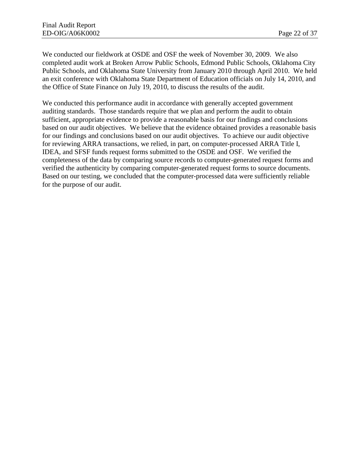We conducted our fieldwork at OSDE and OSF the week of November 30, 2009. We also completed audit work at Broken Arrow Public Schools, Edmond Public Schools, Oklahoma City Public Schools, and Oklahoma State University from January 2010 through April 2010. We held an exit conference with Oklahoma State Department of Education officials on July 14, 2010, and the Office of State Finance on July 19, 2010, to discuss the results of the audit.

We conducted this performance audit in accordance with generally accepted government auditing standards. Those standards require that we plan and perform the audit to obtain sufficient, appropriate evidence to provide a reasonable basis for our findings and conclusions based on our audit objectives. We believe that the evidence obtained provides a reasonable basis for our findings and conclusions based on our audit objectives. To achieve our audit objective for reviewing ARRA transactions, we relied, in part, on computer-processed ARRA Title I, IDEA, and SFSF funds request forms submitted to the OSDE and OSF. We verified the completeness of the data by comparing source records to computer-generated request forms and verified the authenticity by comparing computer-generated request forms to source documents. Based on our testing, we concluded that the computer-processed data were sufficiently reliable for the purpose of our audit.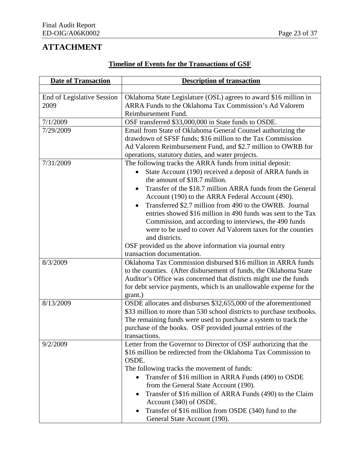# **ATTACHMENT**

| <b>Date of Transaction</b>         | <b>Description of transaction</b>                                                                                                                                                                                                                                                                                                                                                                                                                                                                                                                                                                                                     |
|------------------------------------|---------------------------------------------------------------------------------------------------------------------------------------------------------------------------------------------------------------------------------------------------------------------------------------------------------------------------------------------------------------------------------------------------------------------------------------------------------------------------------------------------------------------------------------------------------------------------------------------------------------------------------------|
|                                    |                                                                                                                                                                                                                                                                                                                                                                                                                                                                                                                                                                                                                                       |
| End of Legislative Session<br>2009 | Oklahoma State Legislature (OSL) agrees to award \$16 million in<br>ARRA Funds to the Oklahoma Tax Commission's Ad Valorem<br>Reimbursement Fund.                                                                                                                                                                                                                                                                                                                                                                                                                                                                                     |
| 7/1/2009                           | OSF transferred \$33,000,000 in State funds to OSDE.                                                                                                                                                                                                                                                                                                                                                                                                                                                                                                                                                                                  |
| 7/29/2009                          | Email from State of Oklahoma General Counsel authorizing the<br>drawdown of SFSF funds; \$16 million to the Tax Commission<br>Ad Valorem Reimbursement Fund, and \$2.7 million to OWRB for<br>operations, statutory duties, and water projects.                                                                                                                                                                                                                                                                                                                                                                                       |
| 7/31/2009                          | The following tracks the ARRA funds from initial deposit:<br>State Account (190) received a deposit of ARRA funds in<br>the amount of \$18.7 million.<br>Transfer of the \$18.7 million ARRA funds from the General<br>Account (190) to the ARRA Federal Account (490).<br>Transferred \$2.7 million from 490 to the OWRB. Journal<br>entries showed \$16 million in 490 funds was sent to the Tax<br>Commission, and according to interviews, the 490 funds<br>were to be used to cover Ad Valorem taxes for the counties<br>and districts.<br>OSF provided us the above information via journal entry<br>transaction documentation. |
| 8/3/2009                           | Oklahoma Tax Commission disbursed \$16 million in ARRA funds<br>to the counties. (After disbursement of funds, the Oklahoma State<br>Auditor's Office was concerned that districts might use the funds<br>for debt service payments, which is an unallowable expense for the<br>grant.)                                                                                                                                                                                                                                                                                                                                               |
| 8/13/2009                          | OSDE allocates and disburses \$32,655,000 of the aforementioned<br>\$33 million to more than 530 school districts to purchase textbooks.<br>The remaining funds were used to purchase a system to track the<br>purchase of the books. OSF provided journal entries of the<br>transactions.                                                                                                                                                                                                                                                                                                                                            |
| 9/2/2009                           | Letter from the Governor to Director of OSF authorizing that the<br>\$16 million be redirected from the Oklahoma Tax Commission to<br>OSDE.<br>The following tracks the movement of funds:<br>Transfer of \$16 million in ARRA Funds (490) to OSDE<br>$\bullet$<br>from the General State Account (190).<br>Transfer of \$16 million of ARRA Funds (490) to the Claim<br>Account (340) of OSDE.<br>Transfer of \$16 million from OSDE (340) fund to the<br>General State Account (190).                                                                                                                                               |

## **Timeline of Events for the Transactions of GSF**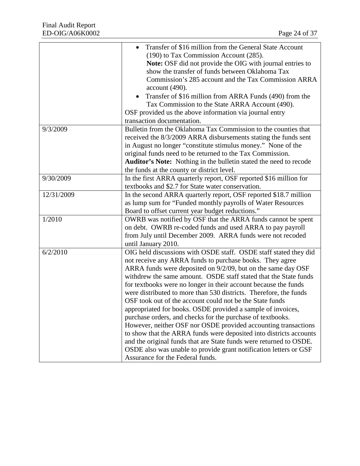|            | Transfer of \$16 million from the General State Account                  |
|------------|--------------------------------------------------------------------------|
|            | (190) to Tax Commission Account (285).                                   |
|            | Note: OSF did not provide the OIG with journal entries to                |
|            | show the transfer of funds between Oklahoma Tax                          |
|            | Commission's 285 account and the Tax Commission ARRA                     |
|            | account (490).                                                           |
|            | Transfer of \$16 million from ARRA Funds (490) from the                  |
|            | Tax Commission to the State ARRA Account (490).                          |
|            | OSF provided us the above information via journal entry                  |
|            | transaction documentation.                                               |
| 9/3/2009   | Bulletin from the Oklahoma Tax Commission to the counties that           |
|            | received the 8/3/2009 ARRA disbursements stating the funds sent          |
|            | in August no longer "constitute stimulus money." None of the             |
|            | original funds need to be returned to the Tax Commission.                |
|            | <b>Auditor's Note:</b> Nothing in the bulletin stated the need to recode |
|            | the funds at the county or district level.                               |
| 9/30/2009  | In the first ARRA quarterly report, OSF reported \$16 million for        |
|            | textbooks and \$2.7 for State water conservation.                        |
| 12/31/2009 | In the second ARRA quarterly report, OSF reported \$18.7 million         |
|            | as lump sum for "Funded monthly payrolls of Water Resources              |
|            | Board to offset current year budget reductions."                         |
| 1/2010     | OWRB was notified by OSF that the ARRA funds cannot be spent             |
|            | on debt. OWRB re-coded funds and used ARRA to pay payroll                |
|            | from July until December 2009. ARRA funds were not recoded               |
|            | until January 2010.                                                      |
| 6/2/2010   | OIG held discussions with OSDE staff. OSDE staff stated they did         |
|            | not receive any ARRA funds to purchase books. They agree                 |
|            | ARRA funds were deposited on 9/2/09, but on the same day OSF             |
|            | withdrew the same amount. OSDE staff stated that the State funds         |
|            | for textbooks were no longer in their account because the funds          |
|            | were distributed to more than 530 districts. Therefore, the funds        |
|            | OSF took out of the account could not be the State funds                 |
|            | appropriated for books. OSDE provided a sample of invoices,              |
|            | purchase orders, and checks for the purchase of textbooks.               |
|            | However, neither OSF nor OSDE provided accounting transactions           |
|            | to show that the ARRA funds were deposited into districts accounts       |
|            | and the original funds that are State funds were returned to OSDE.       |
|            | OSDE also was unable to provide grant notification letters or GSF        |
|            | Assurance for the Federal funds.                                         |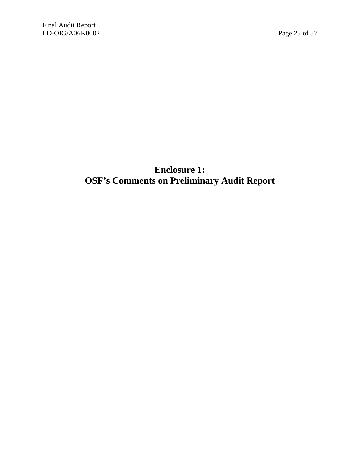# **Enclosure 1: OSF's Comments on Preliminary Audit Report**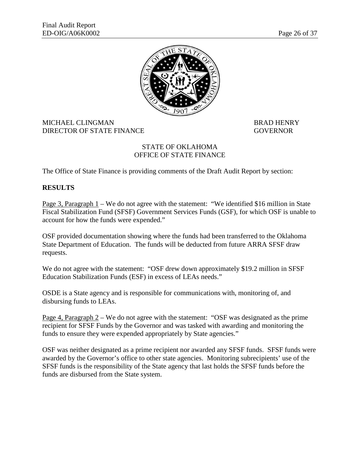

#### MICHAEL CLINGMAN BRAD HENRY DIRECTOR OF STATE FINANCE GOVERNOR

#### STATE OF OKLAHOMA OFFICE OF STATE FINANCE

The Office of State Finance is providing comments of the Draft Audit Report by section:

#### **RESULTS**

<u>Page 3, Paragraph 1</u> – We do not agree with the statement: "We identified \$16 million in State Fiscal Stabilization Fund (SFSF) Government Services Funds (GSF), for which OSF is unable to account for how the funds were expended."

OSF provided documentation showing where the funds had been transferred to the Oklahoma State Department of Education. The funds will be deducted from future ARRA SFSF draw requests.

We do not agree with the statement: "OSF drew down approximately \$19.2 million in SFSF Education Stabilization Funds (ESF) in excess of LEAs needs."

OSDE is a State agency and is responsible for communications with, monitoring of, and disbursing funds to LEAs.

Page 4, Paragraph 2 – We do not agree with the statement: "OSF was designated as the prime recipient for SFSF Funds by the Governor and was tasked with awarding and monitoring the funds to ensure they were expended appropriately by State agencies."

OSF was neither designated as a prime recipient nor awarded any SFSF funds. SFSF funds were awarded by the Governor's office to other state agencies. Monitoring subrecipients' use of the SFSF funds is the responsibility of the State agency that last holds the SFSF funds before the funds are disbursed from the State system.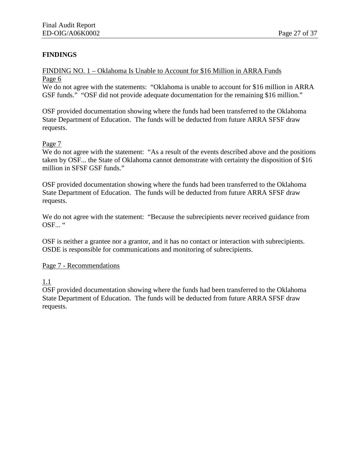#### **FINDINGS**

#### FINDING NO. 1 – Oklahoma Is Unable to Account for \$16 Million in ARRA Funds Page 6

We do not agree with the statements: "Oklahoma is unable to account for \$16 million in ARRA GSF funds." "OSF did not provide adequate documentation for the remaining \$16 million."

OSF provided documentation showing where the funds had been transferred to the Oklahoma State Department of Education. The funds will be deducted from future ARRA SFSF draw requests.

#### Page 7

We do not agree with the statement: "As a result of the events described above and the positions taken by OSF... the State of Oklahoma cannot demonstrate with certainty the disposition of \$16 million in SFSF GSF funds."

OSF provided documentation showing where the funds had been transferred to the Oklahoma State Department of Education. The funds will be deducted from future ARRA SFSF draw requests.

We do not agree with the statement: "Because the subrecipients never received guidance from OSF... "

OSF is neither a grantee nor a grantor, and it has no contact or interaction with subrecipients. OSDE is responsible for communications and monitoring of subrecipients.

#### Page 7 - Recommendations

1.1

OSF provided documentation showing where the funds had been transferred to the Oklahoma State Department of Education. The funds will be deducted from future ARRA SFSF draw requests.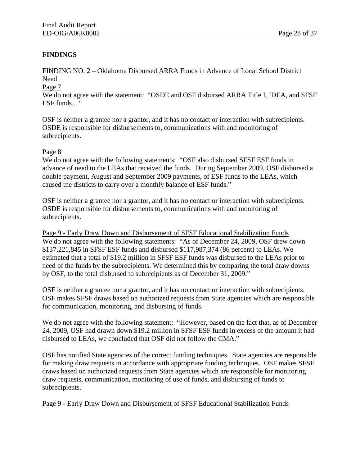#### **FINDINGS**

FINDING NO. 2 – Oklahoma Disbursed ARRA Funds in Advance of Local School District Need

#### Page 7

We do not agree with the statement: "OSDE and OSF disbursed ARRA Title I, IDEA, and SFSF ESF funds... "

OSF is neither a grantee nor a grantor, and it has no contact or interaction with subrecipients. OSDE is responsible for disbursements to, communications with and monitoring of subrecipients.

#### Page 8

We do not agree with the following statements: "OSF also disbursed SFSF ESF funds in advance of need to the LEAs that received the funds. During September 2009, OSF disbursed a double payment, August and September 2009 payments, of ESF funds to the LEAs, which caused the districts to carry over a monthly balance of ESF funds."

OSF is neither a grantee nor a grantor, and it has no contact or interaction with subrecipients. OSDE is responsible for disbursements to, communications with and monitoring of subrecipients.

Page 9 - Early Draw Down and Disbursement of SFSF Educational Stabilization Funds We do not agree with the following statements: "As of December 24, 2009, OSF drew down \$137,221,845 in SFSF ESF funds and disbursed \$117,987,374 (86 percent) to LEAs. We estimated that a total of \$19.2 million in SFSF ESF funds was disbursed to the LEAs prior to need of the funds by the subrecipients. We determined this by comparing the total draw downs by OSF, to the total disbursed to subrecipients as of December 31, 2009."

OSF is neither a grantee nor a grantor, and it has no contact or interaction with subrecipients. OSF makes SFSF draws based on authorized requests from State agencies which are responsible for communication, monitoring, and disbursing of funds.

We do not agree with the following statement: "However, based on the fact that, as of December 24, 2009, OSF had drawn down \$19.2 million in SFSF ESF funds in excess of the amount it had disbursed to LEAs, we concluded that OSF did not follow the CMA."

OSF has notified State agencies of the correct funding techniques. State agencies are responsible for making draw requests in accordance with appropriate funding techniques. OSF makes SFSF draws based on authorized requests from State agencies which are responsible for monitoring draw requests, communication, monitoring of use of funds, and disbursing of funds to subrecipients.

Page 9 - Early Draw Down and Disbursement of SFSF Educational Stabilization Funds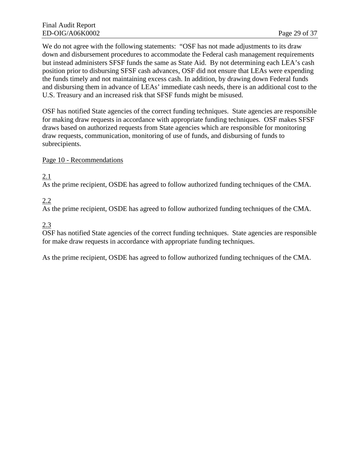We do not agree with the following statements: "OSF has not made adjustments to its draw down and disbursement procedures to accommodate the Federal cash management requirements but instead administers SFSF funds the same as State Aid. By not determining each LEA's cash position prior to disbursing SFSF cash advances, OSF did not ensure that LEAs were expending the funds timely and not maintaining excess cash. In addition, by drawing down Federal funds and disbursing them in advance of LEAs' immediate cash needs, there is an additional cost to the U.S. Treasury and an increased risk that SFSF funds might be misused.

OSF has notified State agencies of the correct funding techniques. State agencies are responsible for making draw requests in accordance with appropriate funding techniques. OSF makes SFSF draws based on authorized requests from State agencies which are responsible for monitoring draw requests, communication, monitoring of use of funds, and disbursing of funds to subrecipients.

#### Page 10 - Recommendations

2.1

As the prime recipient, OSDE has agreed to follow authorized funding techniques of the CMA.

2.2

As the prime recipient, OSDE has agreed to follow authorized funding techniques of the CMA.

2.3

OSF has notified State agencies of the correct funding techniques. State agencies are responsible for make draw requests in accordance with appropriate funding techniques.

As the prime recipient, OSDE has agreed to follow authorized funding techniques of the CMA.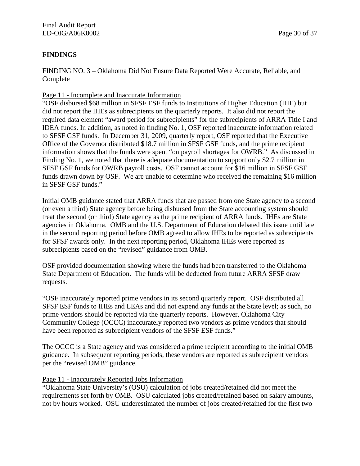#### **FINDINGS**

#### FINDING NO. 3 – Oklahoma Did Not Ensure Data Reported Were Accurate, Reliable, and Complete

#### Page 11 - Incomplete and Inaccurate Information

"OSF disbursed \$68 million in SFSF ESF funds to Institutions of Higher Education (IHE) but did not report the IHEs as subrecipients on the quarterly reports. It also did not report the required data element "award period for subrecipients" for the subrecipients of ARRA Title I and IDEA funds. In addition, as noted in finding No. 1, OSF reported inaccurate information related to SFSF GSF funds. In December 31, 2009, quarterly report, OSF reported that the Executive Office of the Governor distributed \$18.7 million in SFSF GSF funds, and the prime recipient information shows that the funds were spent "on payroll shortages for OWRB." As discussed in Finding No. 1, we noted that there is adequate documentation to support only \$2.7 million in SFSF GSF funds for OWRB payroll costs. OSF cannot account for \$16 million in SFSF GSF funds drawn down by OSF. We are unable to determine who received the remaining \$16 million in SFSF GSF funds."

Initial OMB guidance stated that ARRA funds that are passed from one State agency to a second (or even a third) State agency before being disbursed from the State accounting system should treat the second (or third) State agency as the prime recipient of ARRA funds. IHEs are State agencies in Oklahoma. OMB and the U.S. Department of Education debated this issue until late in the second reporting period before OMB agreed to allow IHEs to be reported as subrecipients for SFSF awards only. In the next reporting period, Oklahoma IHEs were reported as subrecipients based on the "revised" guidance from OMB.

OSF provided documentation showing where the funds had been transferred to the Oklahoma State Department of Education. The funds will be deducted from future ARRA SFSF draw requests.

"OSF inaccurately reported prime vendors in its second quarterly report. OSF distributed all SFSF ESF funds to IHEs and LEAs and did not expend any funds at the State level; as such, no prime vendors should be reported via the quarterly reports. However, Oklahoma City Community College (OCCC) inaccurately reported two vendors as prime vendors that should have been reported as subrecipient vendors of the SFSF ESF funds."

The OCCC is a State agency and was considered a prime recipient according to the initial OMB guidance. In subsequent reporting periods, these vendors are reported as subrecipient vendors per the "revised OMB" guidance.

#### Page 11 - Inaccurately Reported Jobs Information

"Oklahoma State University's (OSU) calculation of jobs created/retained did not meet the requirements set forth by OMB. OSU calculated jobs created/retained based on salary amounts, not by hours worked. OSU underestimated the number of jobs created/retained for the first two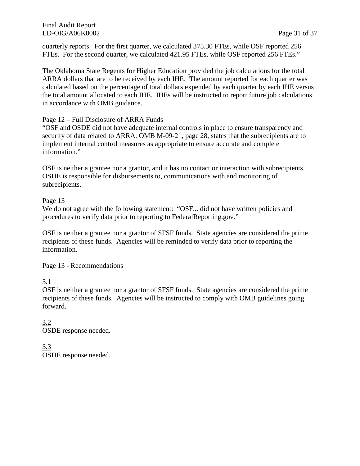quarterly reports. For the first quarter, we calculated 375.30 FTEs, while OSF reported 256 FTEs. For the second quarter, we calculated 421.95 FTEs, while OSF reported 256 FTEs."

The Oklahoma State Regents for Higher Education provided the job calculations for the total ARRA dollars that are to be received by each IHE. The amount reported for each quarter was calculated based on the percentage of total dollars expended by each quarter by each IHE versus the total amount allocated to each IHE. IHEs will be instructed to report future job calculations in accordance with OMB guidance.

#### Page 12 – Full Disclosure of ARRA Funds

"OSF and OSDE did not have adequate internal controls in place to ensure transparency and security of data related to ARRA. OMB M-09-21, page 28, states that the subrecipients are to implement internal control measures as appropriate to ensure accurate and complete information."

OSF is neither a grantee nor a grantor, and it has no contact or interaction with subrecipients. OSDE is responsible for disbursements to, communications with and monitoring of subrecipients.

#### Page 13

We do not agree with the following statement: "OSF... did not have written policies and procedures to verify data prior to reporting to FederalReporting.gov."

OSF is neither a grantee nor a grantor of SFSF funds. State agencies are considered the prime recipients of these funds. Agencies will be reminded to verify data prior to reporting the information.

#### Page 13 - Recommendations

3.1

OSF is neither a grantee nor a grantor of SFSF funds. State agencies are considered the prime recipients of these funds. Agencies will be instructed to comply with OMB guidelines going forward.

3.2 OSDE response needed.

3.3 OSDE response needed.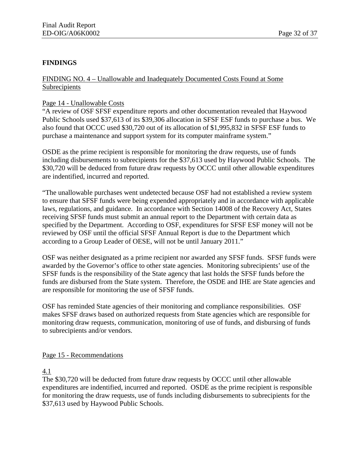#### **FINDINGS**

FINDING NO. 4 – Unallowable and Inadequately Documented Costs Found at Some Subrecipients

#### Page 14 - Unallowable Costs

"A review of OSF SFSF expenditure reports and other documentation revealed that Haywood Public Schools used \$37,613 of its \$39,306 allocation in SFSF ESF funds to purchase a bus. We also found that OCCC used \$30,720 out of its allocation of \$1,995,832 in SFSF ESF funds to purchase a maintenance and support system for its computer mainframe system."

OSDE as the prime recipient is responsible for monitoring the draw requests, use of funds including disbursements to subrecipients for the \$37,613 used by Haywood Public Schools. The \$30,720 will be deduced from future draw requests by OCCC until other allowable expenditures are indentified, incurred and reported.

"The unallowable purchases went undetected because OSF had not established a review system to ensure that SFSF funds were being expended appropriately and in accordance with applicable laws, regulations, and guidance. In accordance with Section 14008 of the Recovery Act, States receiving SFSF funds must submit an annual report to the Department with certain data as specified by the Department. According to OSF, expenditures for SFSF ESF money will not be reviewed by OSF until the official SFSF Annual Report is due to the Department which according to a Group Leader of OESE, will not be until January 2011."

OSF was neither designated as a prime recipient nor awarded any SFSF funds. SFSF funds were awarded by the Governor's office to other state agencies. Monitoring subrecipients' use of the SFSF funds is the responsibility of the State agency that last holds the SFSF funds before the funds are disbursed from the State system. Therefore, the OSDE and IHE are State agencies and are responsible for monitoring the use of SFSF funds.

OSF has reminded State agencies of their monitoring and compliance responsibilities. OSF makes SFSF draws based on authorized requests from State agencies which are responsible for monitoring draw requests, communication, monitoring of use of funds, and disbursing of funds to subrecipients and/or vendors.

#### Page 15 - Recommendations

4.1

The \$30,720 will be deducted from future draw requests by OCCC until other allowable expenditures are indentified, incurred and reported. OSDE as the prime recipient is responsible for monitoring the draw requests, use of funds including disbursements to subrecipients for the \$37,613 used by Haywood Public Schools.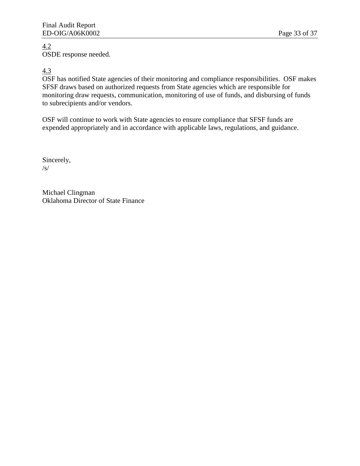#### 4.2 OSDE response needed.

#### 4.3

OSF has notified State agencies of their monitoring and compliance responsibilities. OSF makes SFSF draws based on authorized requests from State agencies which are responsible for monitoring draw requests, communication, monitoring of use of funds, and disbursing of funds to subrecipients and/or vendors.

OSF will continue to work with State agencies to ensure compliance that SFSF funds are expended appropriately and in accordance with applicable laws, regulations, and guidance.

Sincerely, /s/

Michael Clingman Oklahoma Director of State Finance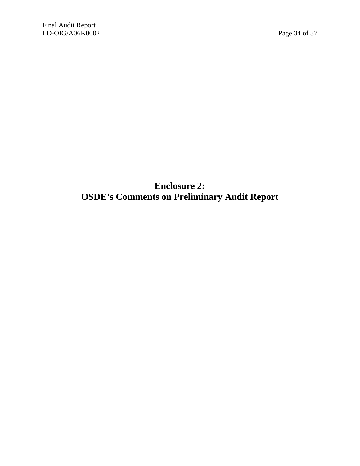# **Enclosure 2: OSDE's Comments on Preliminary Audit Report**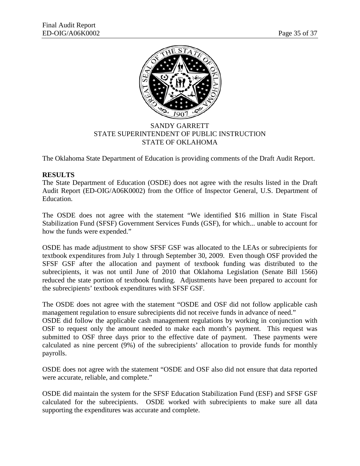

#### SANDY GARRETT STATE SUPERINTENDENT OF PUBLIC INSTRUCTION STATE OF OKLAHOMA

The Oklahoma State Department of Education is providing comments of the Draft Audit Report.

#### **RESULTS**

The State Department of Education (OSDE) does not agree with the results listed in the Draft Audit Report (ED-OIG/A06K0002) from the Office of Inspector General, U.S. Department of Education.

The OSDE does not agree with the statement "We identified \$16 million in State Fiscal Stabilization Fund (SFSF) Government Services Funds (GSF), for which... unable to account for how the funds were expended."

OSDE has made adjustment to show SFSF GSF was allocated to the LEAs or subrecipients for textbook expenditures from July 1 through September 30, 2009. Even though OSF provided the SFSF GSF after the allocation and payment of textbook funding was distributed to the subrecipients, it was not until June of 2010 that Oklahoma Legislation (Senate Bill 1566) reduced the state portion of textbook funding. Adjustments have been prepared to account for the subrecipients' textbook expenditures with SFSF GSF.

The OSDE does not agree with the statement "OSDE and OSF did not follow applicable cash management regulation to ensure subrecipients did not receive funds in advance of need."

OSDE did follow the applicable cash management regulations by working in conjunction with OSF to request only the amount needed to make each month's payment. This request was submitted to OSF three days prior to the effective date of payment. These payments were calculated as nine percent (9%) of the subrecipients' allocation to provide funds for monthly payrolls.

OSDE does not agree with the statement "OSDE and OSF also did not ensure that data reported were accurate, reliable, and complete."

OSDE did maintain the system for the SFSF Education Stabilization Fund (ESF) and SFSF GSF calculated for the subrecipients. OSDE worked with subrecipients to make sure all data supporting the expenditures was accurate and complete.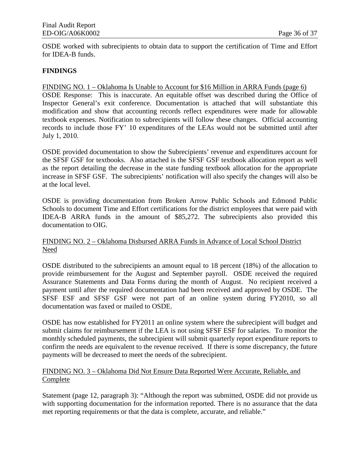OSDE worked with subrecipients to obtain data to support the certification of Time and Effort for IDEA-B funds.

#### **FINDINGS**

#### FINDING NO. 1 – Oklahoma Is Unable to Account for \$16 Million in ARRA Funds (page 6)

OSDE Response: This is inaccurate. An equitable offset was described during the Office of Inspector General's exit conference. Documentation is attached that will substantiate this modification and show that accounting records reflect expenditures were made for allowable textbook expenses. Notification to subrecipients will follow these changes. Official accounting records to include those FY' 10 expenditures of the LEAs would not be submitted until after July 1, 2010.

OSDE provided documentation to show the Subrecipients' revenue and expenditures account for the SFSF GSF for textbooks. Also attached is the SFSF GSF textbook allocation report as well as the report detailing the decrease in the state funding textbook allocation for the appropriate increase in SFSF GSF. The subrecipients' notification will also specify the changes will also be at the local level.

OSDE is providing documentation from Broken Arrow Public Schools and Edmond Public Schools to document Time and Effort certifications for the district employees that were paid with IDEA-B ARRA funds in the amount of \$85,272. The subrecipients also provided this documentation to OIG.

#### FINDING NO. 2 – Oklahoma Disbursed ARRA Funds in Advance of Local School District Need

OSDE distributed to the subrecipients an amount equal to 18 percent (18%) of the allocation to provide reimbursement for the August and September payroll. OSDE received the required Assurance Statements and Data Forms during the month of August. No recipient received a payment until after the required documentation had been received and approved by OSDE. The SFSF ESF and SFSF GSF were not part of an online system during FY2010, so all documentation was faxed or mailed to OSDE.

OSDE has now established for FY2011 an online system where the subrecipient will budget and submit claims for reimbursement if the LEA is not using SFSF ESF for salaries. To monitor the monthly scheduled payments, the subrecipient will submit quarterly report expenditure reports to confirm the needs are equivalent to the revenue received. If there is some discrepancy, the future payments will be decreased to meet the needs of the subrecipient.

#### FINDING NO. 3 – Oklahoma Did Not Ensure Data Reported Were Accurate, Reliable, and **Complete**

Statement (page 12, paragraph 3): "Although the report was submitted, OSDE did not provide us with supporting documentation for the information reported. There is no assurance that the data met reporting requirements or that the data is complete, accurate, and reliable."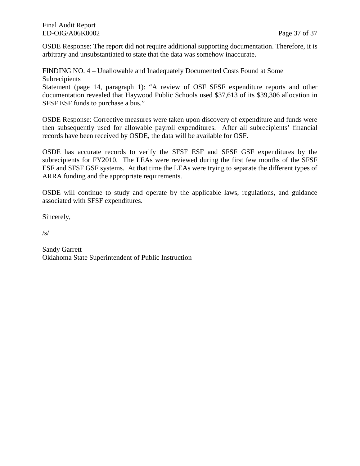OSDE Response: The report did not require additional supporting documentation. Therefore, it is arbitrary and unsubstantiated to state that the data was somehow inaccurate.

FINDING NO. 4 – Unallowable and Inadequately Documented Costs Found at Some Subrecipients

Statement (page 14, paragraph 1): "A review of OSF SFSF expenditure reports and other documentation revealed that Haywood Public Schools used \$37,613 of its \$39,306 allocation in SFSF ESF funds to purchase a bus."

OSDE Response: Corrective measures were taken upon discovery of expenditure and funds were then subsequently used for allowable payroll expenditures. After all subrecipients' financial records have been received by OSDE, the data will be available for OSF.

OSDE has accurate records to verify the SFSF ESF and SFSF GSF expenditures by the subrecipients for FY2010. The LEAs were reviewed during the first few months of the SFSF ESF and SFSF GSF systems. At that time the LEAs were trying to separate the different types of ARRA funding and the appropriate requirements.

OSDE will continue to study and operate by the applicable laws, regulations, and guidance associated with SFSF expenditures.

Sincerely,

/s/

Sandy Garrett Oklahoma State Superintendent of Public Instruction